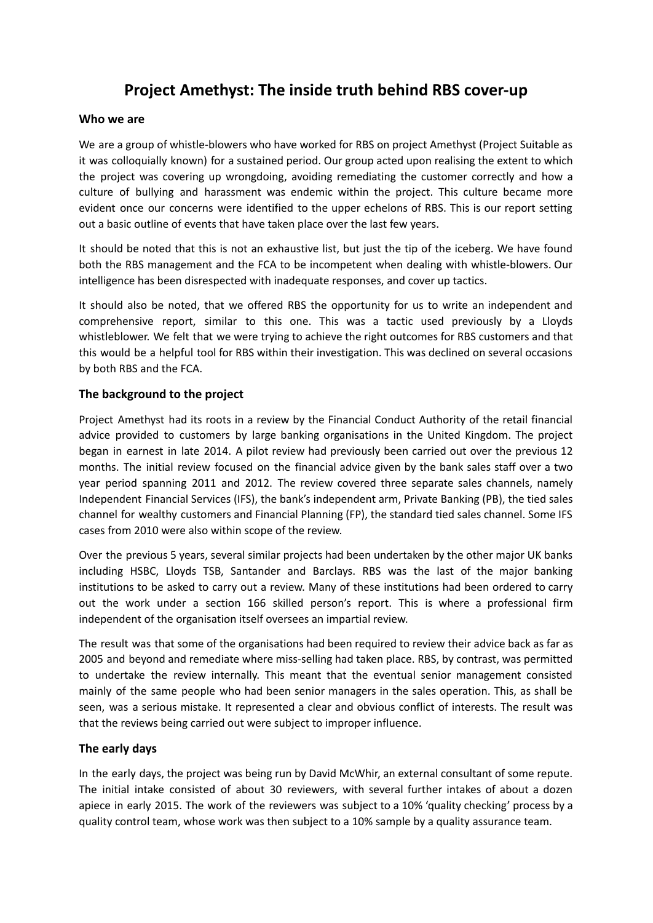# **Project Amethyst: The inside truth behind RBS cover-up**

## **Who we are**

We are a group of whistle-blowers who have worked for RBS on project Amethyst (Project Suitable as it was colloquially known) for a sustained period. Our group acted upon realising the extent to which the project was covering up wrongdoing, avoiding remediating the customer correctly and how a culture of bullying and harassment was endemic within the project. This culture became more evident once our concerns were identified to the upper echelons of RBS. This is our report setting out a basic outline of events that have taken place over the last few years.

It should be noted that this is not an exhaustive list, but just the tip of the iceberg. We have found both the RBS management and the FCA to be incompetent when dealing with whistle-blowers. Our intelligence has been disrespected with inadequate responses, and cover up tactics.

It should also be noted, that we offered RBS the opportunity for us to write an independent and comprehensive report, similar to this one. This was a tactic used previously by a Lloyds whistleblower. We felt that we were trying to achieve the right outcomes for RBS customers and that this would be a helpful tool for RBS within their investigation. This was declined on several occasions by both RBS and the FCA.

# **The background to the project**

Project Amethyst had its roots in a review by the Financial Conduct Authority of the retail financial advice provided to customers by large banking organisations in the United Kingdom. The project began in earnest in late 2014. A pilot review had previously been carried out over the previous 12 months. The initial review focused on the financial advice given by the bank sales staff over a two year period spanning 2011 and 2012. The review covered three separate sales channels, namely Independent Financial Services (IFS), the bank's independent arm, Private Banking (PB), the tied sales channel for wealthy customers and Financial Planning (FP), the standard tied sales channel. Some IFS cases from 2010 were also within scope of the review.

Over the previous 5 years, several similar projects had been undertaken by the other major UK banks including HSBC, Lloyds TSB, Santander and Barclays. RBS was the last of the major banking institutions to be asked to carry out a review. Many of these institutions had been ordered to carry out the work under a section 166 skilled person's report. This is where a professional firm independent of the organisation itself oversees an impartial review.

The result was that some of the organisations had been required to review their advice back as far as 2005 and beyond and remediate where miss-selling had taken place. RBS, by contrast, was permitted to undertake the review internally. This meant that the eventual senior management consisted mainly of the same people who had been senior managers in the sales operation. This, as shall be seen, was a serious mistake. It represented a clear and obvious conflict of interests. The result was that the reviews being carried out were subject to improper influence.

# **The early days**

In the early days, the project was being run by David McWhir, an external consultant of some repute. The initial intake consisted of about 30 reviewers, with several further intakes of about a dozen apiece in early 2015. The work of the reviewers was subject to a 10% 'quality checking' process by a quality control team, whose work was then subject to a 10% sample by a quality assurance team.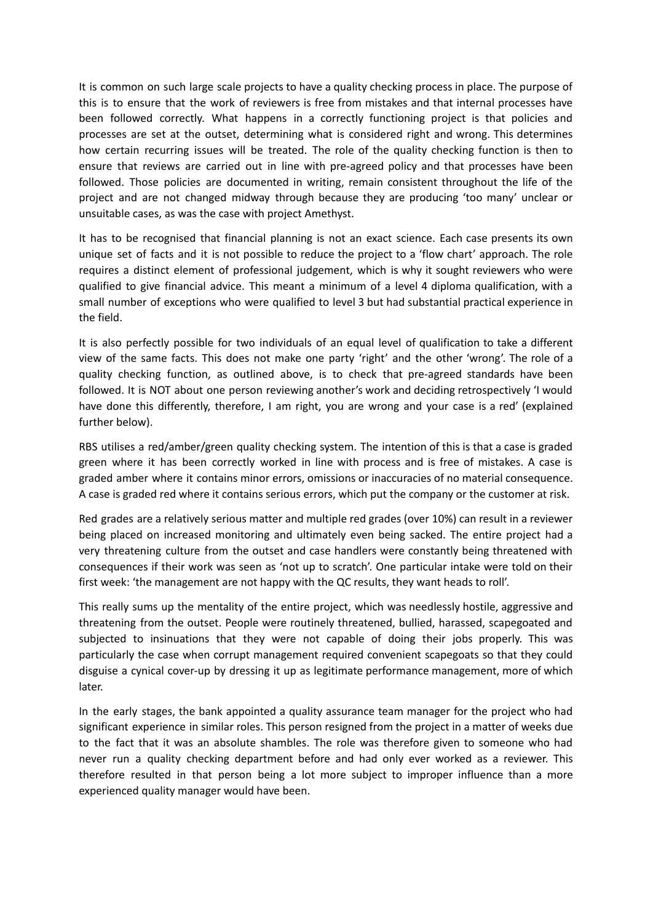It is common on such large scale projects to have a quality checking process in place. The purpose of this is to ensure that the work of reviewers is free from mistakes and that internal processes have been followed correctly. What happens in a correctly functioning project is that policies and processes are set at the outset, determining what is considered right and wrong. This determines how certain recurring issues will be treated. The role of the quality checking function is then to ensure that reviews are carried out in line with pre-agreed policy and that processes have been followed. Those policies are documented in writing, remain consistent throughout the life of the project and are not changed midway through because they are producing 'too many' unclear or unsuitable cases, as was the case with project Amethyst.

It has to be recognised that financial planning is not an exact science. Each case presents its own unique set of facts and it is not possible to reduce the project to a 'flow chart' approach. The role requires a distinct element of professional judgement, which is why it sought reviewers who were qualified to give financial advice. This meant a minimum of a level 4 diploma qualification, with a small number of exceptions who were qualified to level 3 but had substantial practical experience in the field.

It is also perfectly possible for two individuals of an equal level of qualification to take a different view of the same facts. This does not make one party 'right' and the other 'wrong'. The role of a quality checking function, as outlined above, is to check that pre-agreed standards have been followed. It is NOT about one person reviewing another's work and deciding retrospectively 'I would have done this differently, therefore, I am right, you are wrong and your case is a red' (explained further below).

RBS utilises a red/amber/green quality checking system. The intention of this is that a case is graded green where it has been correctly worked in line with process and is free of mistakes. A case is graded amber where it contains minor errors, omissions or inaccuracies of no material consequence. A case is graded red where it contains serious errors, which put the company or the customer at risk.

Red grades are a relatively serious matter and multiple red grades (over 10%) can result in a reviewer being placed on increased monitoring and ultimately even being sacked. The entire project had a very threatening culture from the outset and case handlers were constantly being threatened with consequences if their work was seen as 'not up to scratch'. One particular intake were told on their first week: 'the management are not happy with the QC results, they want heads to roll'.

This really sums up the mentality of the entire project, which was needlessly hostile, aggressive and threatening from the outset. People were routinely threatened, bullied, harassed, scapegoated and subjected to insinuations that they were not capable of doing their jobs properly. This was particularly the case when corrupt management required convenient scapegoats so that they could disguise a cynical cover-up by dressing it up as legitimate performance management, more of which later.

In the early stages, the bank appointed a quality assurance team manager for the project who had significant experience in similar roles. This person resigned from the project in a matter of weeks due to the fact that it was an absolute shambles. The role was therefore given to someone who had never run a quality checking department before and had only ever worked as a reviewer. This therefore resulted in that person being a lot more subject to improper influence than a more experienced quality manager would have been.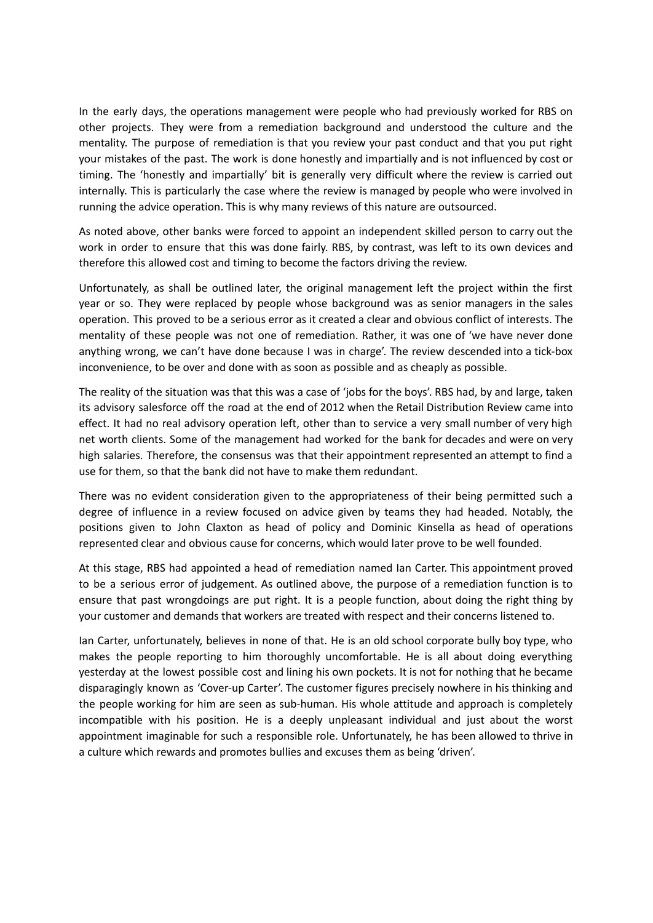In the early days, the operations management were people who had previously worked for RBS on other projects. They were from a remediation background and understood the culture and the mentality. The purpose of remediation is that you review your past conduct and that you put right your mistakes of the past. The work is done honestly and impartially and is not influenced by cost or timing. The 'honestly and impartially' bit is generally very difficult where the review is carried out internally. This is particularly the case where the review is managed by people who were involved in running the advice operation. This is why many reviews of this nature are outsourced.

As noted above, other banks were forced to appoint an independent skilled person to carry out the work in order to ensure that this was done fairly. RBS, by contrast, was left to its own devices and therefore this allowed cost and timing to become the factors driving the review.

Unfortunately, as shall be outlined later, the original management left the project within the first year or so. They were replaced by people whose background was as senior managers in the sales operation. This proved to be a serious error as it created a clear and obvious conflict of interests. The mentality of these people was not one of remediation. Rather, it was one of 'we have never done anything wrong, we can't have done because I was in charge'. The review descended into a tick-box inconvenience, to be over and done with as soon as possible and as cheaply as possible.

The reality of the situation was that this was a case of 'jobs for the boys'. RBS had, by and large, taken its advisory salesforce off the road at the end of 2012 when the Retail Distribution Review came into effect. It had no real advisory operation left, other than to service a very small number of very high net worth clients. Some of the management had worked for the bank for decades and were on very high salaries. Therefore, the consensus was that their appointment represented an attempt to find a use for them, so that the bank did not have to make them redundant.

There was no evident consideration given to the appropriateness of their being permitted such a degree of influence in a review focused on advice given by teams they had headed. Notably, the positions given to John Claxton as head of policy and Dominic Kinsella as head of operations represented clear and obvious cause for concerns, which would later prove to be well founded.

At this stage, RBS had appointed a head of remediation named Ian Carter. This appointment proved to be a serious error of judgement. As outlined above, the purpose of a remediation function is to ensure that past wrongdoings are put right. It is a people function, about doing the right thing by your customer and demands that workers are treated with respect and their concerns listened to.

Ian Carter, unfortunately, believes in none of that. He is an old school corporate bully boy type, who makes the people reporting to him thoroughly uncomfortable. He is all about doing everything yesterday at the lowest possible cost and lining his own pockets. It is not for nothing that he became disparagingly known as 'Cover-up Carter'. The customer figures precisely nowhere in his thinking and the people working for him are seen as sub-human. His whole attitude and approach is completely incompatible with his position. He is a deeply unpleasant individual and just about the worst appointment imaginable for such a responsible role. Unfortunately, he has been allowed to thrive in a culture which rewards and promotes bullies and excuses them as being 'driven'.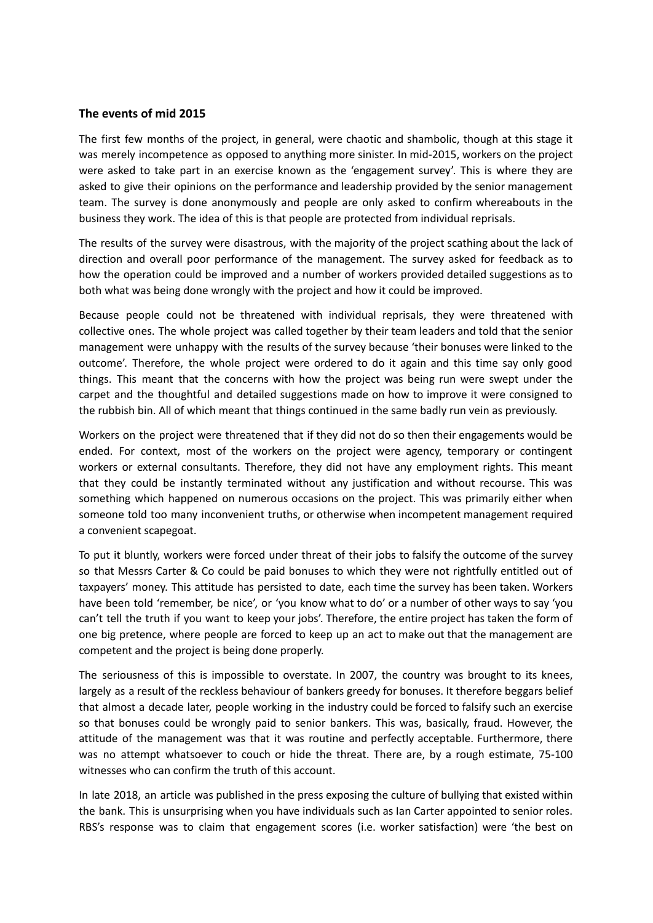#### **The events of mid 2015**

The first few months of the project, in general, were chaotic and shambolic, though at this stage it was merely incompetence as opposed to anything more sinister. In mid-2015, workers on the project were asked to take part in an exercise known as the 'engagement survey'. This is where they are asked to give their opinions on the performance and leadership provided by the senior management team. The survey is done anonymously and people are only asked to confirm whereabouts in the business they work. The idea of this is that people are protected from individual reprisals.

The results of the survey were disastrous, with the majority of the project scathing about the lack of direction and overall poor performance of the management. The survey asked for feedback as to how the operation could be improved and a number of workers provided detailed suggestions as to both what was being done wrongly with the project and how it could be improved.

Because people could not be threatened with individual reprisals, they were threatened with collective ones. The whole project was called together by their team leaders and told that the senior management were unhappy with the results of the survey because 'their bonuses were linked to the outcome'. Therefore, the whole project were ordered to do it again and this time say only good things. This meant that the concerns with how the project was being run were swept under the carpet and the thoughtful and detailed suggestions made on how to improve it were consigned to the rubbish bin. All of which meant that things continued in the same badly run vein as previously.

Workers on the project were threatened that if they did not do so then their engagements would be ended. For context, most of the workers on the project were agency, temporary or contingent workers or external consultants. Therefore, they did not have any employment rights. This meant that they could be instantly terminated without any justification and without recourse. This was something which happened on numerous occasions on the project. This was primarily either when someone told too many inconvenient truths, or otherwise when incompetent management required a convenient scapegoat.

To put it bluntly, workers were forced under threat of their jobs to falsify the outcome of the survey so that Messrs Carter & Co could be paid bonuses to which they were not rightfully entitled out of taxpayers' money. This attitude has persisted to date, each time the survey has been taken. Workers have been told 'remember, be nice', or 'you know what to do' or a number of other ways to say 'you can't tell the truth if you want to keep your jobs'. Therefore, the entire project has taken the form of one big pretence, where people are forced to keep up an act to make out that the management are competent and the project is being done properly.

The seriousness of this is impossible to overstate. In 2007, the country was brought to its knees, largely as a result of the reckless behaviour of bankers greedy for bonuses. It therefore beggars belief that almost a decade later, people working in the industry could be forced to falsify such an exercise so that bonuses could be wrongly paid to senior bankers. This was, basically, fraud. However, the attitude of the management was that it was routine and perfectly acceptable. Furthermore, there was no attempt whatsoever to couch or hide the threat. There are, by a rough estimate, 75-100 witnesses who can confirm the truth of this account.

In late 2018, an article was published in the press exposing the culture of bullying that existed within the bank. This is unsurprising when you have individuals such as Ian Carter appointed to senior roles. RBS's response was to claim that engagement scores (i.e. worker satisfaction) were 'the best on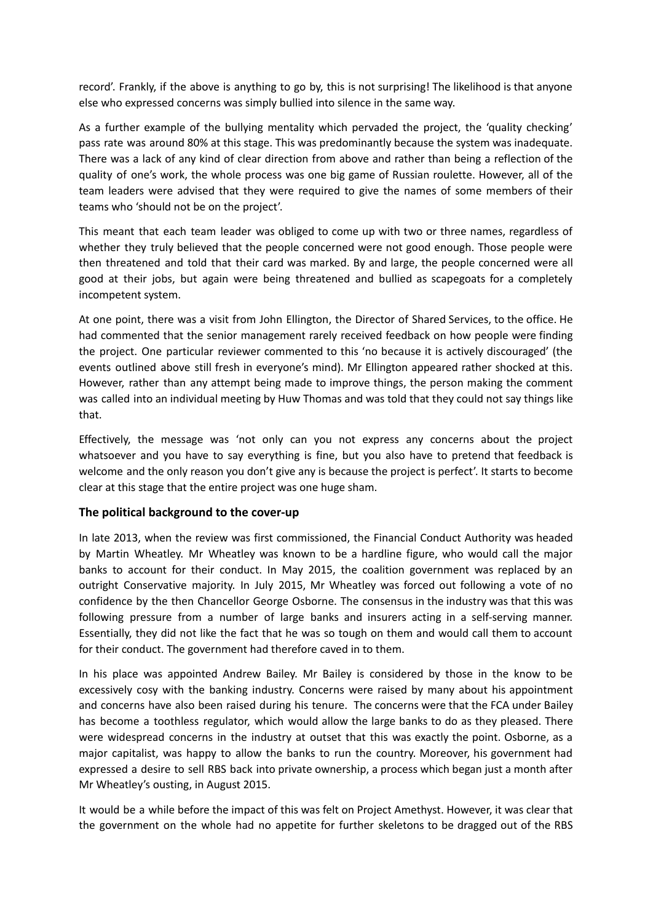record'. Frankly, if the above is anything to go by, this is not surprising! The likelihood is that anyone else who expressed concerns was simply bullied into silence in the same way.

As a further example of the bullying mentality which pervaded the project, the 'quality checking' pass rate was around 80% at this stage. This was predominantly because the system was inadequate. There was a lack of any kind of clear direction from above and rather than being a reflection of the quality of one's work, the whole process was one big game of Russian roulette. However, all of the team leaders were advised that they were required to give the names of some members of their teams who 'should not be on the project'.

This meant that each team leader was obliged to come up with two or three names, regardless of whether they truly believed that the people concerned were not good enough. Those people were then threatened and told that their card was marked. By and large, the people concerned were all good at their jobs, but again were being threatened and bullied as scapegoats for a completely incompetent system.

At one point, there was a visit from John Ellington, the Director of Shared Services, to the office. He had commented that the senior management rarely received feedback on how people were finding the project. One particular reviewer commented to this 'no because it is actively discouraged' (the events outlined above still fresh in everyone's mind). Mr Ellington appeared rather shocked at this. However, rather than any attempt being made to improve things, the person making the comment was called into an individual meeting by Huw Thomas and was told that they could not say things like that.

Effectively, the message was 'not only can you not express any concerns about the project whatsoever and you have to say everything is fine, but you also have to pretend that feedback is welcome and the only reason you don't give any is because the project is perfect'. It starts to become clear at this stage that the entire project was one huge sham.

# **The political background to the cover-up**

In late 2013, when the review was first commissioned, the Financial Conduct Authority was headed by Martin Wheatley. Mr Wheatley was known to be a hardline figure, who would call the major banks to account for their conduct. In May 2015, the coalition government was replaced by an outright Conservative majority. In July 2015, Mr Wheatley was forced out following a vote of no confidence by the then Chancellor George Osborne. The consensus in the industry was that this was following pressure from a number of large banks and insurers acting in a self-serving manner. Essentially, they did not like the fact that he was so tough on them and would call them to account for their conduct. The government had therefore caved in to them.

In his place was appointed Andrew Bailey. Mr Bailey is considered by those in the know to be excessively cosy with the banking industry. Concerns were raised by many about his appointment and concerns have also been raised during his tenure. The concerns were that the FCA under Bailey has become a toothless regulator, which would allow the large banks to do as they pleased. There were widespread concerns in the industry at outset that this was exactly the point. Osborne, as a major capitalist, was happy to allow the banks to run the country. Moreover, his government had expressed a desire to sell RBS back into private ownership, a process which began just a month after Mr Wheatley's ousting, in August 2015.

It would be a while before the impact of this was felt on Project Amethyst. However, it was clear that the government on the whole had no appetite for further skeletons to be dragged out of the RBS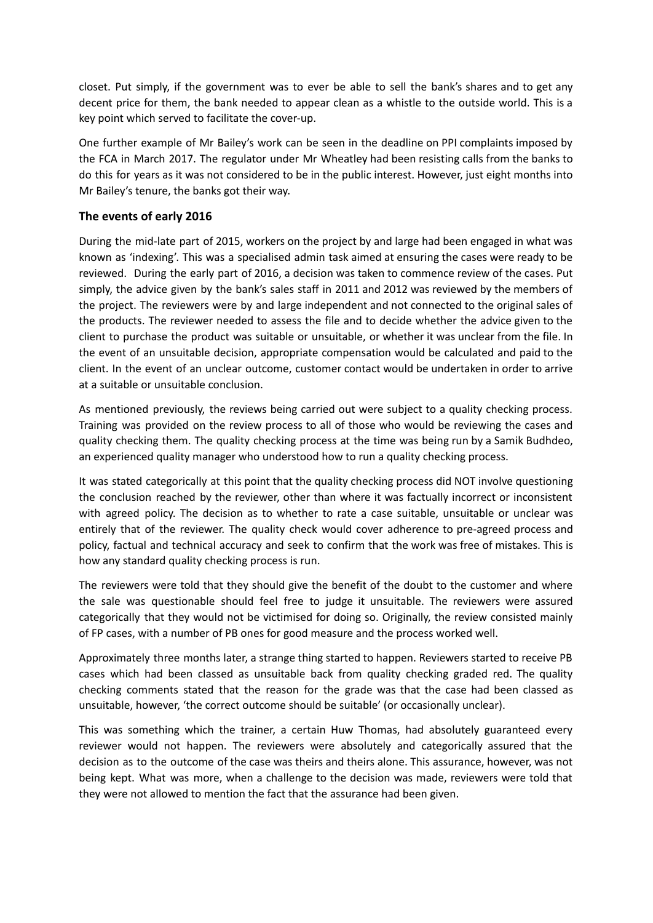closet. Put simply, if the government was to ever be able to sell the bank's shares and to get any decent price for them, the bank needed to appear clean as a whistle to the outside world. This is a key point which served to facilitate the cover-up.

One further example of Mr Bailey's work can be seen in the deadline on PPI complaints imposed by the FCA in March 2017. The regulator under Mr Wheatley had been resisting calls from the banks to do this for years as it was not considered to be in the public interest. However, just eight months into Mr Bailey's tenure, the banks got their way.

# **The events of early 2016**

During the mid-late part of 2015, workers on the project by and large had been engaged in what was known as 'indexing'. This was a specialised admin task aimed at ensuring the cases were ready to be reviewed. During the early part of 2016, a decision was taken to commence review of the cases. Put simply, the advice given by the bank's sales staff in 2011 and 2012 was reviewed by the members of the project. The reviewers were by and large independent and not connected to the original sales of the products. The reviewer needed to assess the file and to decide whether the advice given to the client to purchase the product was suitable or unsuitable, or whether it was unclear from the file. In the event of an unsuitable decision, appropriate compensation would be calculated and paid to the client. In the event of an unclear outcome, customer contact would be undertaken in order to arrive at a suitable or unsuitable conclusion.

As mentioned previously, the reviews being carried out were subject to a quality checking process. Training was provided on the review process to all of those who would be reviewing the cases and quality checking them. The quality checking process at the time was being run by a Samik Budhdeo, an experienced quality manager who understood how to run a quality checking process.

It was stated categorically at this point that the quality checking process did NOT involve questioning the conclusion reached by the reviewer, other than where it was factually incorrect or inconsistent with agreed policy. The decision as to whether to rate a case suitable, unsuitable or unclear was entirely that of the reviewer. The quality check would cover adherence to pre-agreed process and policy, factual and technical accuracy and seek to confirm that the work was free of mistakes. This is how any standard quality checking process is run.

The reviewers were told that they should give the benefit of the doubt to the customer and where the sale was questionable should feel free to judge it unsuitable. The reviewers were assured categorically that they would not be victimised for doing so. Originally, the review consisted mainly of FP cases, with a number of PB ones for good measure and the process worked well.

Approximately three months later, a strange thing started to happen. Reviewers started to receive PB cases which had been classed as unsuitable back from quality checking graded red. The quality checking comments stated that the reason for the grade was that the case had been classed as unsuitable, however, 'the correct outcome should be suitable' (or occasionally unclear).

This was something which the trainer, a certain Huw Thomas, had absolutely guaranteed every reviewer would not happen. The reviewers were absolutely and categorically assured that the decision as to the outcome of the case was theirs and theirs alone. This assurance, however, was not being kept. What was more, when a challenge to the decision was made, reviewers were told that they were not allowed to mention the fact that the assurance had been given.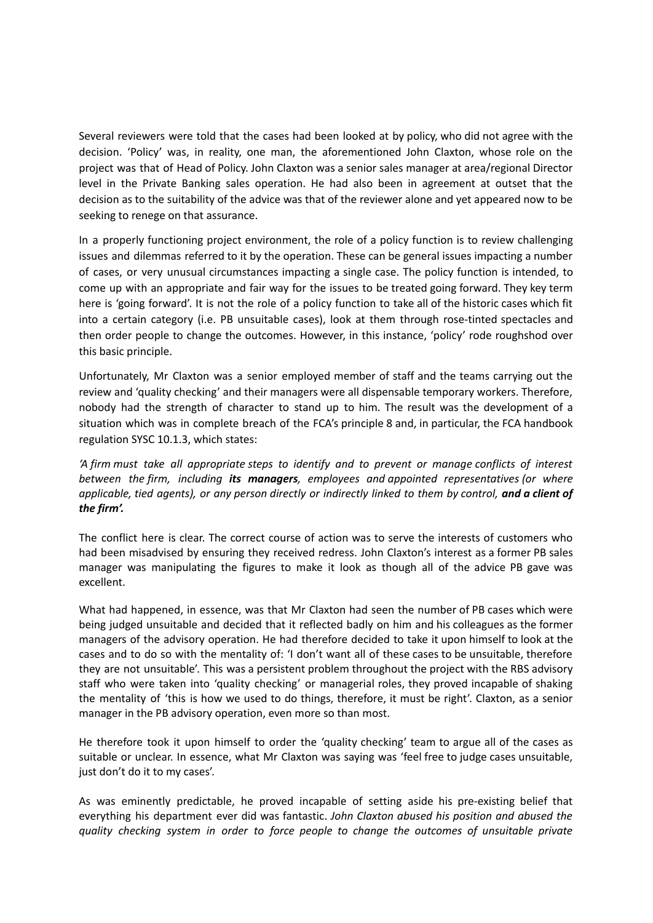Several reviewers were told that the cases had been looked at by policy, who did not agree with the decision. 'Policy' was, in reality, one man, the aforementioned John Claxton, whose role on the project was that of Head of Policy. John Claxton was a senior sales manager at area/regional Director level in the Private Banking sales operation. He had also been in agreement at outset that the decision as to the suitability of the advice was that of the reviewer alone and yet appeared now to be seeking to renege on that assurance.

In a properly functioning project environment, the role of a policy function is to review challenging issues and dilemmas referred to it by the operation. These can be general issues impacting a number of cases, or very unusual circumstances impacting a single case. The policy function is intended, to come up with an appropriate and fair way for the issues to be treated going forward. They key term here is 'going forward'. It is not the role of a policy function to take all of the historic cases which fit into a certain category (i.e. PB unsuitable cases), look at them through rose-tinted spectacles and then order people to change the outcomes. However, in this instance, 'policy' rode roughshod over this basic principle.

Unfortunately, Mr Claxton was a senior employed member of staff and the teams carrying out the review and 'quality checking' and their managers were all dispensable temporary workers. Therefore, nobody had the strength of character to stand up to him. The result was the development of a situation which was in complete breach of the FCA's principle 8 and, in particular, the FCA handbook regulation SYSC 10.1.3, which states:

*'A [firm](https://www.handbook.fca.org.uk/handbook/glossary/G430.html) must take all appropriate steps to identify and to prevent or manage conflicts of interest between the [firm,](https://www.handbook.fca.org.uk/handbook/glossary/G430.html) including its managers, employees and appointed [representatives](https://www.handbook.fca.org.uk/handbook/glossary/G1659.html) (or where* applicable, tied [agents](https://www.handbook.fca.org.uk/handbook/glossary/G1983.html)), or any [person](https://www.handbook.fca.org.uk/handbook/glossary/G869.html) directly or indirectly linked to them by [control](https://www.handbook.fca.org.uk/handbook/glossary/G221.html), and a [client](https://www.handbook.fca.org.uk/handbook/glossary/G156.html) of *the [firm](https://www.handbook.fca.org.uk/handbook/glossary/G430.html)'.*

The conflict here is clear. The correct course of action was to serve the interests of customers who had been misadvised by ensuring they received redress. John Claxton's interest as a former PB sales manager was manipulating the figures to make it look as though all of the advice PB gave was excellent.

What had happened, in essence, was that Mr Claxton had seen the number of PB cases which were being judged unsuitable and decided that it reflected badly on him and his colleagues as the former managers of the advisory operation. He had therefore decided to take it upon himself to look at the cases and to do so with the mentality of: 'I don't want all of these cases to be unsuitable, therefore they are not unsuitable'. This was a persistent problem throughout the project with the RBS advisory staff who were taken into 'quality checking' or managerial roles, they proved incapable of shaking the mentality of 'this is how we used to do things, therefore, it must be right'. Claxton, as a senior manager in the PB advisory operation, even more so than most.

He therefore took it upon himself to order the 'quality checking' team to argue all of the cases as suitable or unclear. In essence, what Mr Claxton was saying was 'feel free to judge cases unsuitable, just don't do it to my cases'.

As was eminently predictable, he proved incapable of setting aside his pre-existing belief that everything his department ever did was fantastic. *John Claxton abused his position and abused the quality checking system in order to force people to change the outcomes of unsuitable private*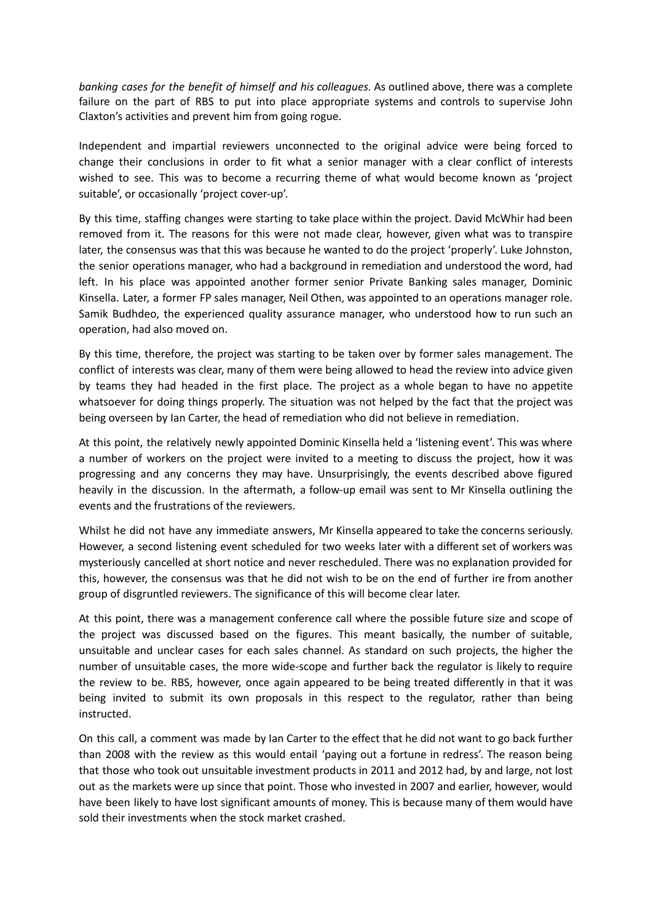*banking cases for the benefit of himself and his colleagues.* As outlined above, there was a complete failure on the part of RBS to put into place appropriate systems and controls to supervise John Claxton's activities and prevent him from going rogue.

Independent and impartial reviewers unconnected to the original advice were being forced to change their conclusions in order to fit what a senior manager with a clear conflict of interests wished to see. This was to become a recurring theme of what would become known as 'project suitable', or occasionally 'project cover-up'.

By this time, staffing changes were starting to take place within the project. David McWhir had been removed from it. The reasons for this were not made clear, however, given what was to transpire later, the consensus was that this was because he wanted to do the project 'properly'. Luke Johnston, the senior operations manager, who had a background in remediation and understood the word, had left. In his place was appointed another former senior Private Banking sales manager, Dominic Kinsella. Later, a former FP sales manager, Neil Othen, was appointed to an operations manager role. Samik Budhdeo, the experienced quality assurance manager, who understood how to run such an operation, had also moved on.

By this time, therefore, the project was starting to be taken over by former sales management. The conflict of interests was clear, many of them were being allowed to head the review into advice given by teams they had headed in the first place. The project as a whole began to have no appetite whatsoever for doing things properly. The situation was not helped by the fact that the project was being overseen by Ian Carter, the head of remediation who did not believe in remediation.

At this point, the relatively newly appointed Dominic Kinsella held a 'listening event'. This was where a number of workers on the project were invited to a meeting to discuss the project, how it was progressing and any concerns they may have. Unsurprisingly, the events described above figured heavily in the discussion. In the aftermath, a follow-up email was sent to Mr Kinsella outlining the events and the frustrations of the reviewers.

Whilst he did not have any immediate answers, Mr Kinsella appeared to take the concerns seriously. However, a second listening event scheduled for two weeks later with a different set of workers was mysteriously cancelled at short notice and never rescheduled. There was no explanation provided for this, however, the consensus was that he did not wish to be on the end of further ire from another group of disgruntled reviewers. The significance of this will become clear later.

At this point, there was a management conference call where the possible future size and scope of the project was discussed based on the figures. This meant basically, the number of suitable, unsuitable and unclear cases for each sales channel. As standard on such projects, the higher the number of unsuitable cases, the more wide-scope and further back the regulator is likely to require the review to be. RBS, however, once again appeared to be being treated differently in that it was being invited to submit its own proposals in this respect to the regulator, rather than being instructed.

On this call, a comment was made by Ian Carter to the effect that he did not want to go back further than 2008 with the review as this would entail 'paying out a fortune in redress'. The reason being that those who took out unsuitable investment products in 2011 and 2012 had, by and large, not lost out as the markets were up since that point. Those who invested in 2007 and earlier, however, would have been likely to have lost significant amounts of money. This is because many of them would have sold their investments when the stock market crashed.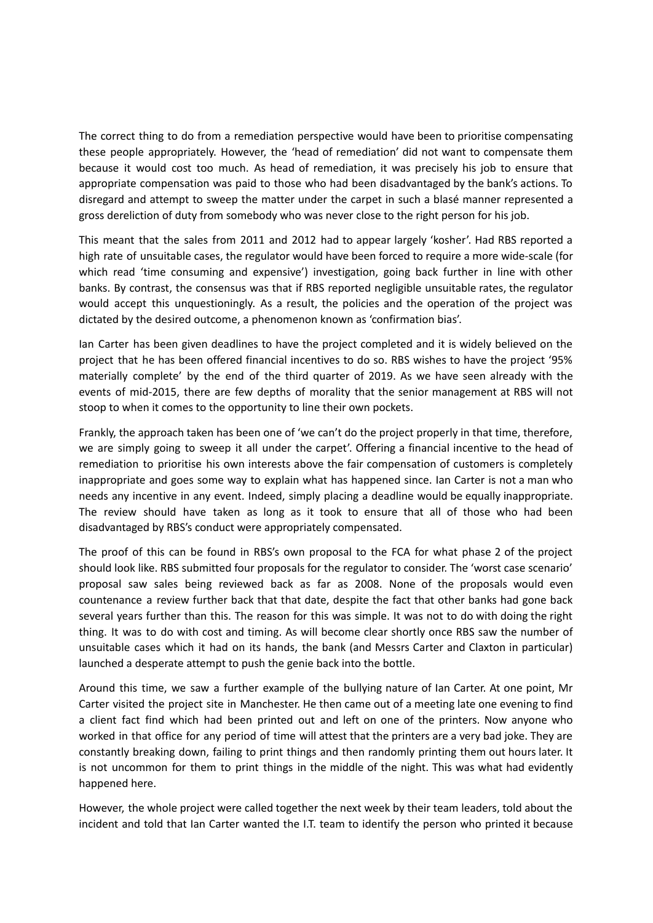The correct thing to do from a remediation perspective would have been to prioritise compensating these people appropriately. However, the 'head of remediation' did not want to compensate them because it would cost too much. As head of remediation, it was precisely his job to ensure that appropriate compensation was paid to those who had been disadvantaged by the bank's actions. To disregard and attempt to sweep the matter under the carpet in such a blasé manner represented a gross dereliction of duty from somebody who was never close to the right person for his job.

This meant that the sales from 2011 and 2012 had to appear largely 'kosher'. Had RBS reported a high rate of unsuitable cases, the regulator would have been forced to require a more wide-scale (for which read 'time consuming and expensive') investigation, going back further in line with other banks. By contrast, the consensus was that if RBS reported negligible unsuitable rates, the regulator would accept this unquestioningly. As a result, the policies and the operation of the project was dictated by the desired outcome, a phenomenon known as 'confirmation bias'.

Ian Carter has been given deadlines to have the project completed and it is widely believed on the project that he has been offered financial incentives to do so. RBS wishes to have the project '95% materially complete' by the end of the third quarter of 2019. As we have seen already with the events of mid-2015, there are few depths of morality that the senior management at RBS will not stoop to when it comes to the opportunity to line their own pockets.

Frankly, the approach taken has been one of 'we can't do the project properly in that time, therefore, we are simply going to sweep it all under the carpet'. Offering a financial incentive to the head of remediation to prioritise his own interests above the fair compensation of customers is completely inappropriate and goes some way to explain what has happened since. Ian Carter is not a man who needs any incentive in any event. Indeed, simply placing a deadline would be equally inappropriate. The review should have taken as long as it took to ensure that all of those who had been disadvantaged by RBS's conduct were appropriately compensated.

The proof of this can be found in RBS's own proposal to the FCA for what phase 2 of the project should look like. RBS submitted four proposals for the regulator to consider. The 'worst case scenario' proposal saw sales being reviewed back as far as 2008. None of the proposals would even countenance a review further back that that date, despite the fact that other banks had gone back several years further than this. The reason for this was simple. It was not to do with doing the right thing. It was to do with cost and timing. As will become clear shortly once RBS saw the number of unsuitable cases which it had on its hands, the bank (and Messrs Carter and Claxton in particular) launched a desperate attempt to push the genie back into the bottle.

Around this time, we saw a further example of the bullying nature of Ian Carter. At one point, Mr Carter visited the project site in Manchester. He then came out of a meeting late one evening to find a client fact find which had been printed out and left on one of the printers. Now anyone who worked in that office for any period of time will attest that the printers are a very bad joke. They are constantly breaking down, failing to print things and then randomly printing them out hours later. It is not uncommon for them to print things in the middle of the night. This was what had evidently happened here.

However, the whole project were called together the next week by their team leaders, told about the incident and told that Ian Carter wanted the I.T. team to identify the person who printed it because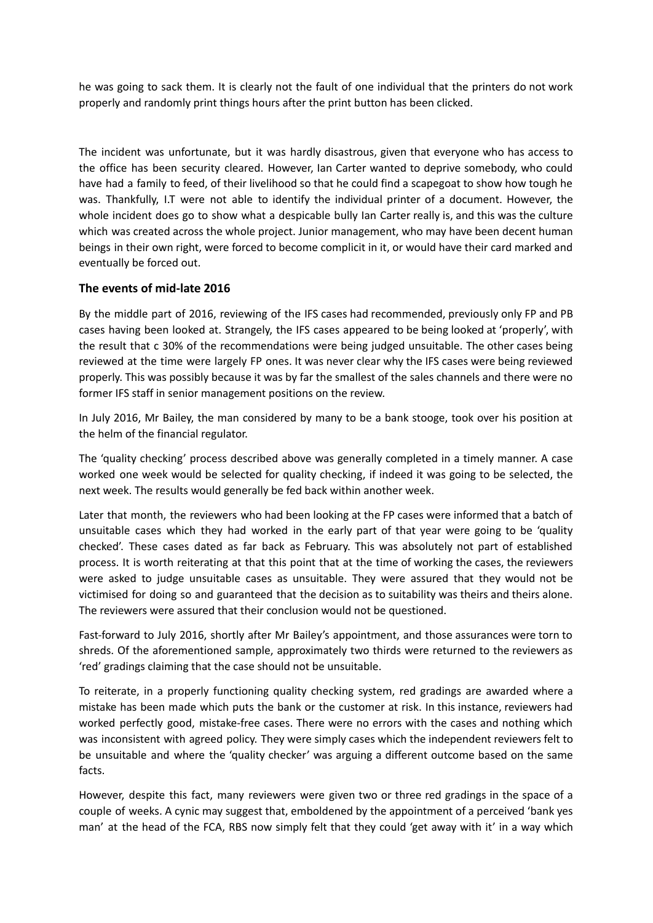he was going to sack them. It is clearly not the fault of one individual that the printers do not work properly and randomly print things hours after the print button has been clicked.

The incident was unfortunate, but it was hardly disastrous, given that everyone who has access to the office has been security cleared. However, Ian Carter wanted to deprive somebody, who could have had a family to feed, of their livelihood so that he could find a scapegoat to show how tough he was. Thankfully, I.T were not able to identify the individual printer of a document. However, the whole incident does go to show what a despicable bully Ian Carter really is, and this was the culture which was created across the whole project. Junior management, who may have been decent human beings in their own right, were forced to become complicit in it, or would have their card marked and eventually be forced out.

# **The events of mid-late 2016**

By the middle part of 2016, reviewing of the IFS cases had recommended, previously only FP and PB cases having been looked at. Strangely, the IFS cases appeared to be being looked at 'properly', with the result that c 30% of the recommendations were being judged unsuitable. The other cases being reviewed at the time were largely FP ones. It was never clear why the IFS cases were being reviewed properly. This was possibly because it was by far the smallest of the sales channels and there were no former IFS staff in senior management positions on the review.

In July 2016, Mr Bailey, the man considered by many to be a bank stooge, took over his position at the helm of the financial regulator.

The 'quality checking' process described above was generally completed in a timely manner. A case worked one week would be selected for quality checking, if indeed it was going to be selected, the next week. The results would generally be fed back within another week.

Later that month, the reviewers who had been looking at the FP cases were informed that a batch of unsuitable cases which they had worked in the early part of that year were going to be 'quality checked'. These cases dated as far back as February. This was absolutely not part of established process. It is worth reiterating at that this point that at the time of working the cases, the reviewers were asked to judge unsuitable cases as unsuitable. They were assured that they would not be victimised for doing so and guaranteed that the decision as to suitability was theirs and theirs alone. The reviewers were assured that their conclusion would not be questioned.

Fast-forward to July 2016, shortly after Mr Bailey's appointment, and those assurances were torn to shreds. Of the aforementioned sample, approximately two thirds were returned to the reviewers as 'red' gradings claiming that the case should not be unsuitable.

To reiterate, in a properly functioning quality checking system, red gradings are awarded where a mistake has been made which puts the bank or the customer at risk. In this instance, reviewers had worked perfectly good, mistake-free cases. There were no errors with the cases and nothing which was inconsistent with agreed policy. They were simply cases which the independent reviewers felt to be unsuitable and where the 'quality checker' was arguing a different outcome based on the same facts.

However, despite this fact, many reviewers were given two or three red gradings in the space of a couple of weeks. A cynic may suggest that, emboldened by the appointment of a perceived 'bank yes man' at the head of the FCA, RBS now simply felt that they could 'get away with it' in a way which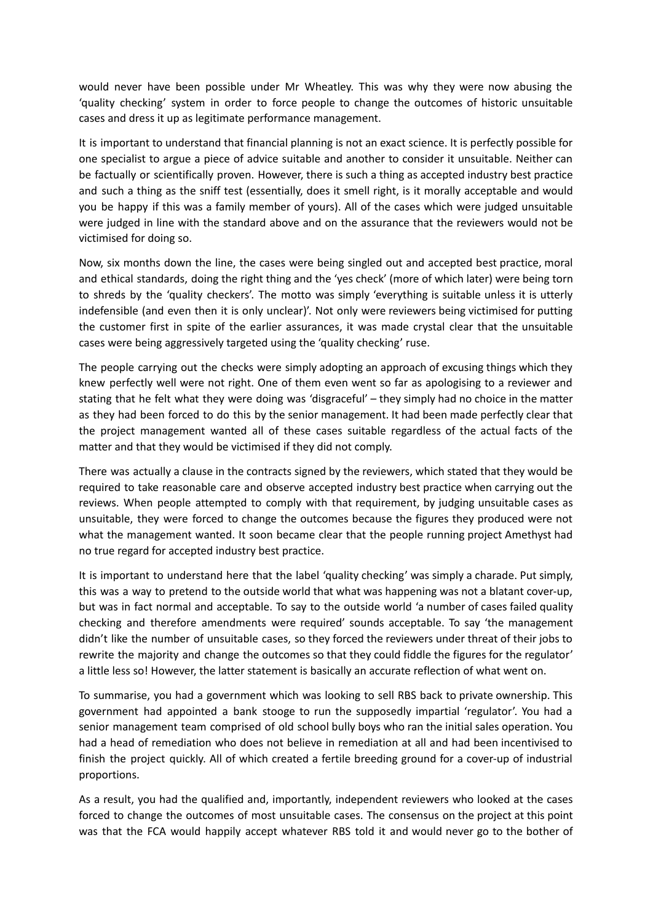would never have been possible under Mr Wheatley. This was why they were now abusing the 'quality checking' system in order to force people to change the outcomes of historic unsuitable cases and dress it up as legitimate performance management.

It is important to understand that financial planning is not an exact science. It is perfectly possible for one specialist to argue a piece of advice suitable and another to consider it unsuitable. Neither can be factually or scientifically proven. However, there is such a thing as accepted industry best practice and such a thing as the sniff test (essentially, does it smell right, is it morally acceptable and would you be happy if this was a family member of yours). All of the cases which were judged unsuitable were judged in line with the standard above and on the assurance that the reviewers would not be victimised for doing so.

Now, six months down the line, the cases were being singled out and accepted best practice, moral and ethical standards, doing the right thing and the 'yes check' (more of which later) were being torn to shreds by the 'quality checkers'. The motto was simply 'everything is suitable unless it is utterly indefensible (and even then it is only unclear)'. Not only were reviewers being victimised for putting the customer first in spite of the earlier assurances, it was made crystal clear that the unsuitable cases were being aggressively targeted using the 'quality checking' ruse.

The people carrying out the checks were simply adopting an approach of excusing things which they knew perfectly well were not right. One of them even went so far as apologising to a reviewer and stating that he felt what they were doing was 'disgraceful' – they simply had no choice in the matter as they had been forced to do this by the senior management. It had been made perfectly clear that the project management wanted all of these cases suitable regardless of the actual facts of the matter and that they would be victimised if they did not comply.

There was actually a clause in the contracts signed by the reviewers, which stated that they would be required to take reasonable care and observe accepted industry best practice when carrying out the reviews. When people attempted to comply with that requirement, by judging unsuitable cases as unsuitable, they were forced to change the outcomes because the figures they produced were not what the management wanted. It soon became clear that the people running project Amethyst had no true regard for accepted industry best practice.

It is important to understand here that the label 'quality checking' was simply a charade. Put simply, this was a way to pretend to the outside world that what was happening was not a blatant cover-up, but was in fact normal and acceptable. To say to the outside world 'a number of cases failed quality checking and therefore amendments were required' sounds acceptable. To say 'the management didn't like the number of unsuitable cases, so they forced the reviewers under threat of their jobs to rewrite the majority and change the outcomes so that they could fiddle the figures for the regulator' a little less so! However, the latter statement is basically an accurate reflection of what went on.

To summarise, you had a government which was looking to sell RBS back to private ownership. This government had appointed a bank stooge to run the supposedly impartial 'regulator'. You had a senior management team comprised of old school bully boys who ran the initial sales operation. You had a head of remediation who does not believe in remediation at all and had been incentivised to finish the project quickly. All of which created a fertile breeding ground for a cover-up of industrial proportions.

As a result, you had the qualified and, importantly, independent reviewers who looked at the cases forced to change the outcomes of most unsuitable cases. The consensus on the project at this point was that the FCA would happily accept whatever RBS told it and would never go to the bother of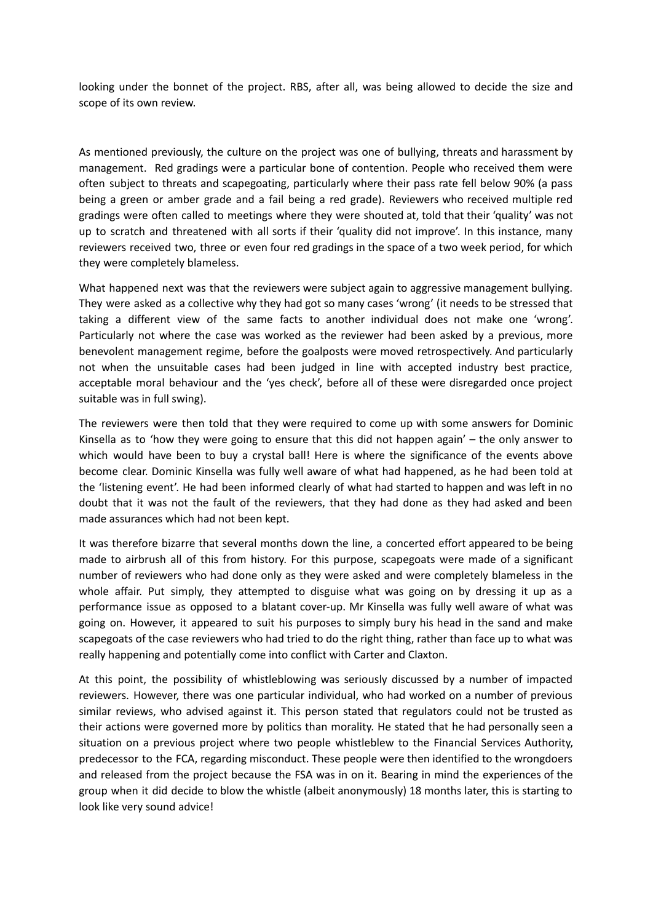looking under the bonnet of the project. RBS, after all, was being allowed to decide the size and scope of its own review.

As mentioned previously, the culture on the project was one of bullying, threats and harassment by management. Red gradings were a particular bone of contention. People who received them were often subject to threats and scapegoating, particularly where their pass rate fell below 90% (a pass being a green or amber grade and a fail being a red grade). Reviewers who received multiple red gradings were often called to meetings where they were shouted at, told that their 'quality' was not up to scratch and threatened with all sorts if their 'quality did not improve'. In this instance, many reviewers received two, three or even four red gradings in the space of a two week period, for which they were completely blameless.

What happened next was that the reviewers were subject again to aggressive management bullying. They were asked as a collective why they had got so many cases 'wrong' (it needs to be stressed that taking a different view of the same facts to another individual does not make one 'wrong'. Particularly not where the case was worked as the reviewer had been asked by a previous, more benevolent management regime, before the goalposts were moved retrospectively. And particularly not when the unsuitable cases had been judged in line with accepted industry best practice, acceptable moral behaviour and the 'yes check', before all of these were disregarded once project suitable was in full swing).

The reviewers were then told that they were required to come up with some answers for Dominic Kinsella as to 'how they were going to ensure that this did not happen again' – the only answer to which would have been to buy a crystal ball! Here is where the significance of the events above become clear. Dominic Kinsella was fully well aware of what had happened, as he had been told at the 'listening event'. He had been informed clearly of what had started to happen and was left in no doubt that it was not the fault of the reviewers, that they had done as they had asked and been made assurances which had not been kept.

It was therefore bizarre that several months down the line, a concerted effort appeared to be being made to airbrush all of this from history. For this purpose, scapegoats were made of a significant number of reviewers who had done only as they were asked and were completely blameless in the whole affair. Put simply, they attempted to disguise what was going on by dressing it up as a performance issue as opposed to a blatant cover-up. Mr Kinsella was fully well aware of what was going on. However, it appeared to suit his purposes to simply bury his head in the sand and make scapegoats of the case reviewers who had tried to do the right thing, rather than face up to what was really happening and potentially come into conflict with Carter and Claxton.

At this point, the possibility of whistleblowing was seriously discussed by a number of impacted reviewers. However, there was one particular individual, who had worked on a number of previous similar reviews, who advised against it. This person stated that regulators could not be trusted as their actions were governed more by politics than morality. He stated that he had personally seen a situation on a previous project where two people whistleblew to the Financial Services Authority, predecessor to the FCA, regarding misconduct. These people were then identified to the wrongdoers and released from the project because the FSA was in on it. Bearing in mind the experiences of the group when it did decide to blow the whistle (albeit anonymously) 18 months later, this is starting to look like very sound advice!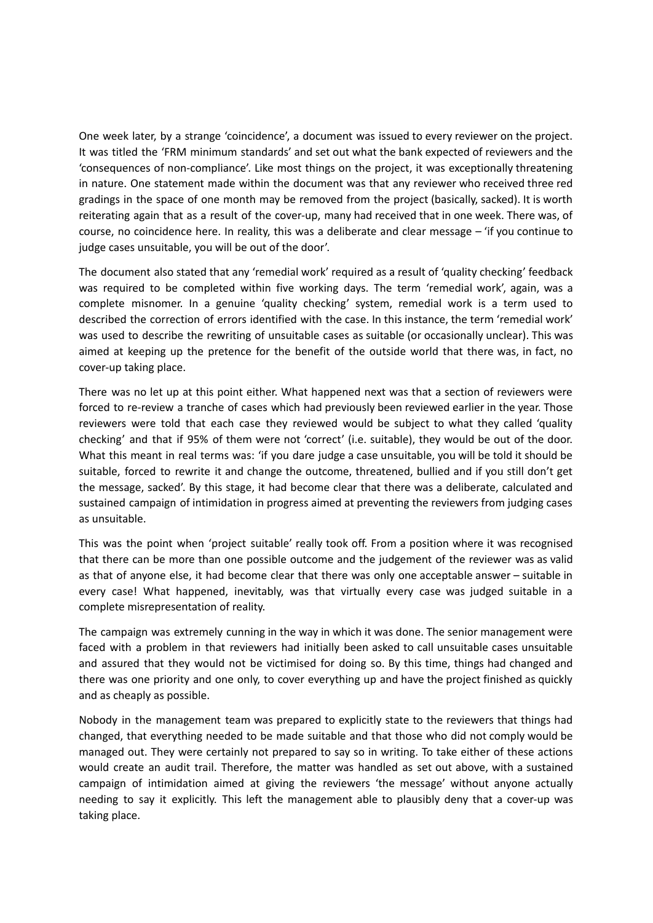One week later, by a strange 'coincidence', a document was issued to every reviewer on the project. It was titled the 'FRM minimum standards' and set out what the bank expected of reviewers and the 'consequences of non-compliance'. Like most things on the project, it was exceptionally threatening in nature. One statement made within the document was that any reviewer who received three red gradings in the space of one month may be removed from the project (basically, sacked). It is worth reiterating again that as a result of the cover-up, many had received that in one week. There was, of course, no coincidence here. In reality, this was a deliberate and clear message – 'if you continue to judge cases unsuitable, you will be out of the door'.

The document also stated that any 'remedial work' required as a result of 'quality checking' feedback was required to be completed within five working days. The term 'remedial work', again, was a complete misnomer. In a genuine 'quality checking' system, remedial work is a term used to described the correction of errors identified with the case. In this instance, the term 'remedial work' was used to describe the rewriting of unsuitable cases as suitable (or occasionally unclear). This was aimed at keeping up the pretence for the benefit of the outside world that there was, in fact, no cover-up taking place.

There was no let up at this point either. What happened next was that a section of reviewers were forced to re-review a tranche of cases which had previously been reviewed earlier in the year. Those reviewers were told that each case they reviewed would be subject to what they called 'quality checking' and that if 95% of them were not 'correct' (i.e. suitable), they would be out of the door. What this meant in real terms was: 'if you dare judge a case unsuitable, you will be told it should be suitable, forced to rewrite it and change the outcome, threatened, bullied and if you still don't get the message, sacked'. By this stage, it had become clear that there was a deliberate, calculated and sustained campaign of intimidation in progress aimed at preventing the reviewers from judging cases as unsuitable.

This was the point when 'project suitable' really took off. From a position where it was recognised that there can be more than one possible outcome and the judgement of the reviewer was as valid as that of anyone else, it had become clear that there was only one acceptable answer – suitable in every case! What happened, inevitably, was that virtually every case was judged suitable in a complete misrepresentation of reality.

The campaign was extremely cunning in the way in which it was done. The senior management were faced with a problem in that reviewers had initially been asked to call unsuitable cases unsuitable and assured that they would not be victimised for doing so. By this time, things had changed and there was one priority and one only, to cover everything up and have the project finished as quickly and as cheaply as possible.

Nobody in the management team was prepared to explicitly state to the reviewers that things had changed, that everything needed to be made suitable and that those who did not comply would be managed out. They were certainly not prepared to say so in writing. To take either of these actions would create an audit trail. Therefore, the matter was handled as set out above, with a sustained campaign of intimidation aimed at giving the reviewers 'the message' without anyone actually needing to say it explicitly. This left the management able to plausibly deny that a cover-up was taking place.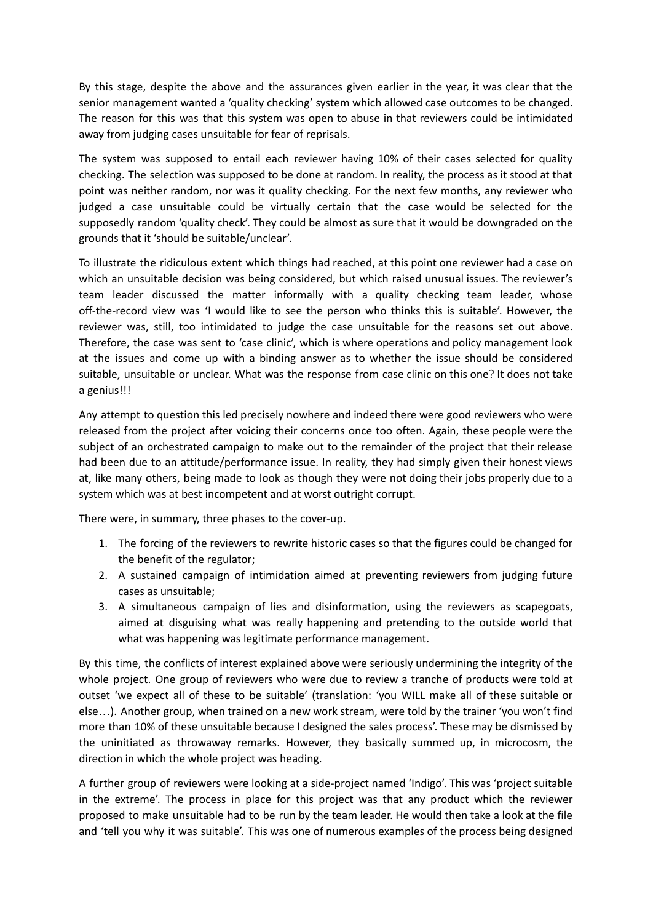By this stage, despite the above and the assurances given earlier in the year, it was clear that the senior management wanted a 'quality checking' system which allowed case outcomes to be changed. The reason for this was that this system was open to abuse in that reviewers could be intimidated away from judging cases unsuitable for fear of reprisals.

The system was supposed to entail each reviewer having 10% of their cases selected for quality checking. The selection was supposed to be done at random. In reality, the process as it stood at that point was neither random, nor was it quality checking. For the next few months, any reviewer who judged a case unsuitable could be virtually certain that the case would be selected for the supposedly random 'quality check'. They could be almost as sure that it would be downgraded on the grounds that it 'should be suitable/unclear'.

To illustrate the ridiculous extent which things had reached, at this point one reviewer had a case on which an unsuitable decision was being considered, but which raised unusual issues. The reviewer's team leader discussed the matter informally with a quality checking team leader, whose off-the-record view was 'I would like to see the person who thinks this is suitable'. However, the reviewer was, still, too intimidated to judge the case unsuitable for the reasons set out above. Therefore, the case was sent to 'case clinic', which is where operations and policy management look at the issues and come up with a binding answer as to whether the issue should be considered suitable, unsuitable or unclear. What was the response from case clinic on this one? It does not take a genius!!!

Any attempt to question this led precisely nowhere and indeed there were good reviewers who were released from the project after voicing their concerns once too often. Again, these people were the subject of an orchestrated campaign to make out to the remainder of the project that their release had been due to an attitude/performance issue. In reality, they had simply given their honest views at, like many others, being made to look as though they were not doing their jobs properly due to a system which was at best incompetent and at worst outright corrupt.

There were, in summary, three phases to the cover-up.

- 1. The forcing of the reviewers to rewrite historic cases so that the figures could be changed for the benefit of the regulator;
- 2. A sustained campaign of intimidation aimed at preventing reviewers from judging future cases as unsuitable;
- 3. A simultaneous campaign of lies and disinformation, using the reviewers as scapegoats, aimed at disguising what was really happening and pretending to the outside world that what was happening was legitimate performance management.

By this time, the conflicts of interest explained above were seriously undermining the integrity of the whole project. One group of reviewers who were due to review a tranche of products were told at outset 'we expect all of these to be suitable' (translation: 'you WILL make all of these suitable or else…). Another group, when trained on a new work stream, were told by the trainer 'you won't find more than 10% of these unsuitable because I designed the sales process'. These may be dismissed by the uninitiated as throwaway remarks. However, they basically summed up, in microcosm, the direction in which the whole project was heading.

A further group of reviewers were looking at a side-project named 'Indigo'. This was 'project suitable in the extreme'. The process in place for this project was that any product which the reviewer proposed to make unsuitable had to be run by the team leader. He would then take a look at the file and 'tell you why it was suitable'. This was one of numerous examples of the process being designed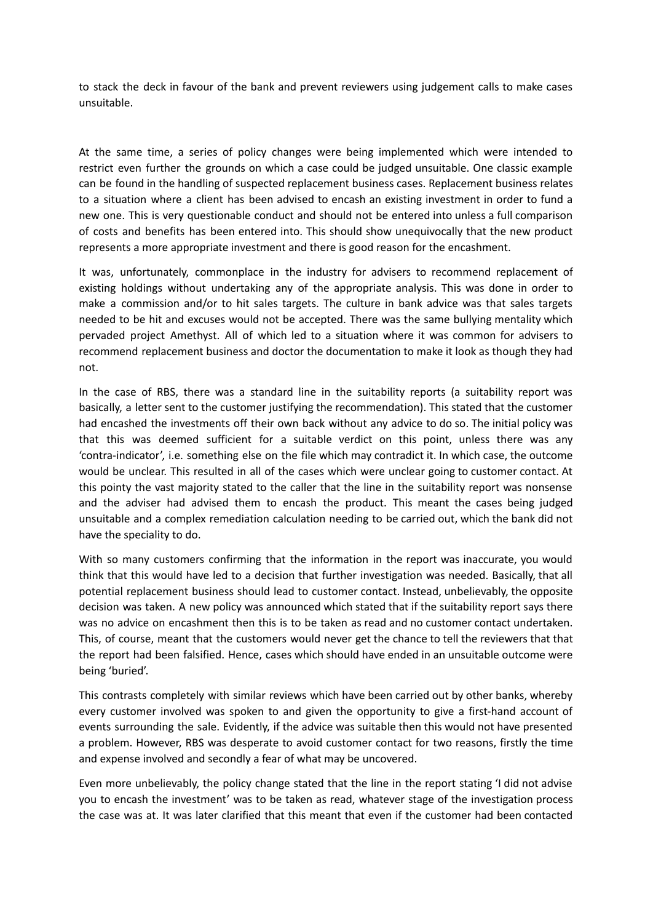to stack the deck in favour of the bank and prevent reviewers using judgement calls to make cases unsuitable.

At the same time, a series of policy changes were being implemented which were intended to restrict even further the grounds on which a case could be judged unsuitable. One classic example can be found in the handling of suspected replacement business cases. Replacement business relates to a situation where a client has been advised to encash an existing investment in order to fund a new one. This is very questionable conduct and should not be entered into unless a full comparison of costs and benefits has been entered into. This should show unequivocally that the new product represents a more appropriate investment and there is good reason for the encashment.

It was, unfortunately, commonplace in the industry for advisers to recommend replacement of existing holdings without undertaking any of the appropriate analysis. This was done in order to make a commission and/or to hit sales targets. The culture in bank advice was that sales targets needed to be hit and excuses would not be accepted. There was the same bullying mentality which pervaded project Amethyst. All of which led to a situation where it was common for advisers to recommend replacement business and doctor the documentation to make it look as though they had not.

In the case of RBS, there was a standard line in the suitability reports (a suitability report was basically, a letter sent to the customer justifying the recommendation). This stated that the customer had encashed the investments off their own back without any advice to do so. The initial policy was that this was deemed sufficient for a suitable verdict on this point, unless there was any 'contra-indicator', i.e. something else on the file which may contradict it. In which case, the outcome would be unclear. This resulted in all of the cases which were unclear going to customer contact. At this pointy the vast majority stated to the caller that the line in the suitability report was nonsense and the adviser had advised them to encash the product. This meant the cases being judged unsuitable and a complex remediation calculation needing to be carried out, which the bank did not have the speciality to do.

With so many customers confirming that the information in the report was inaccurate, you would think that this would have led to a decision that further investigation was needed. Basically, that all potential replacement business should lead to customer contact. Instead, unbelievably, the opposite decision was taken. A new policy was announced which stated that if the suitability report says there was no advice on encashment then this is to be taken as read and no customer contact undertaken. This, of course, meant that the customers would never get the chance to tell the reviewers that that the report had been falsified. Hence, cases which should have ended in an unsuitable outcome were being 'buried'.

This contrasts completely with similar reviews which have been carried out by other banks, whereby every customer involved was spoken to and given the opportunity to give a first-hand account of events surrounding the sale. Evidently, if the advice was suitable then this would not have presented a problem. However, RBS was desperate to avoid customer contact for two reasons, firstly the time and expense involved and secondly a fear of what may be uncovered.

Even more unbelievably, the policy change stated that the line in the report stating 'I did not advise you to encash the investment' was to be taken as read, whatever stage of the investigation process the case was at. It was later clarified that this meant that even if the customer had been contacted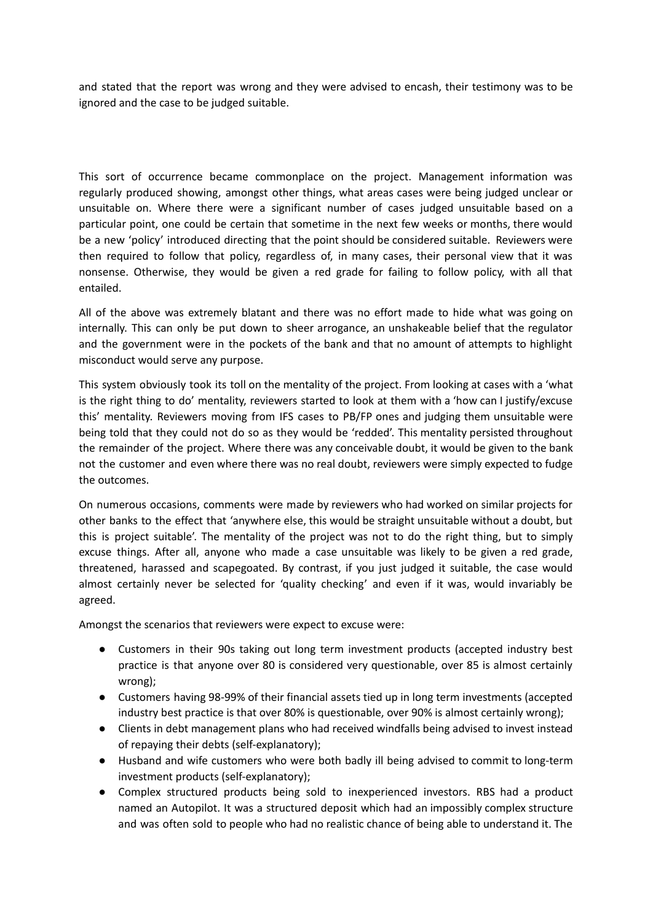and stated that the report was wrong and they were advised to encash, their testimony was to be ignored and the case to be judged suitable.

This sort of occurrence became commonplace on the project. Management information was regularly produced showing, amongst other things, what areas cases were being judged unclear or unsuitable on. Where there were a significant number of cases judged unsuitable based on a particular point, one could be certain that sometime in the next few weeks or months, there would be a new 'policy' introduced directing that the point should be considered suitable. Reviewers were then required to follow that policy, regardless of, in many cases, their personal view that it was nonsense. Otherwise, they would be given a red grade for failing to follow policy, with all that entailed.

All of the above was extremely blatant and there was no effort made to hide what was going on internally. This can only be put down to sheer arrogance, an unshakeable belief that the regulator and the government were in the pockets of the bank and that no amount of attempts to highlight misconduct would serve any purpose.

This system obviously took its toll on the mentality of the project. From looking at cases with a 'what is the right thing to do' mentality, reviewers started to look at them with a 'how can I justify/excuse this' mentality. Reviewers moving from IFS cases to PB/FP ones and judging them unsuitable were being told that they could not do so as they would be 'redded'. This mentality persisted throughout the remainder of the project. Where there was any conceivable doubt, it would be given to the bank not the customer and even where there was no real doubt, reviewers were simply expected to fudge the outcomes.

On numerous occasions, comments were made by reviewers who had worked on similar projects for other banks to the effect that 'anywhere else, this would be straight unsuitable without a doubt, but this is project suitable'. The mentality of the project was not to do the right thing, but to simply excuse things. After all, anyone who made a case unsuitable was likely to be given a red grade, threatened, harassed and scapegoated. By contrast, if you just judged it suitable, the case would almost certainly never be selected for 'quality checking' and even if it was, would invariably be agreed.

Amongst the scenarios that reviewers were expect to excuse were:

- Customers in their 90s taking out long term investment products (accepted industry best practice is that anyone over 80 is considered very questionable, over 85 is almost certainly wrong);
- Customers having 98-99% of their financial assets tied up in long term investments (accepted industry best practice is that over 80% is questionable, over 90% is almost certainly wrong);
- Clients in debt management plans who had received windfalls being advised to invest instead of repaying their debts (self-explanatory);
- Husband and wife customers who were both badly ill being advised to commit to long-term investment products (self-explanatory);
- Complex structured products being sold to inexperienced investors. RBS had a product named an Autopilot. It was a structured deposit which had an impossibly complex structure and was often sold to people who had no realistic chance of being able to understand it. The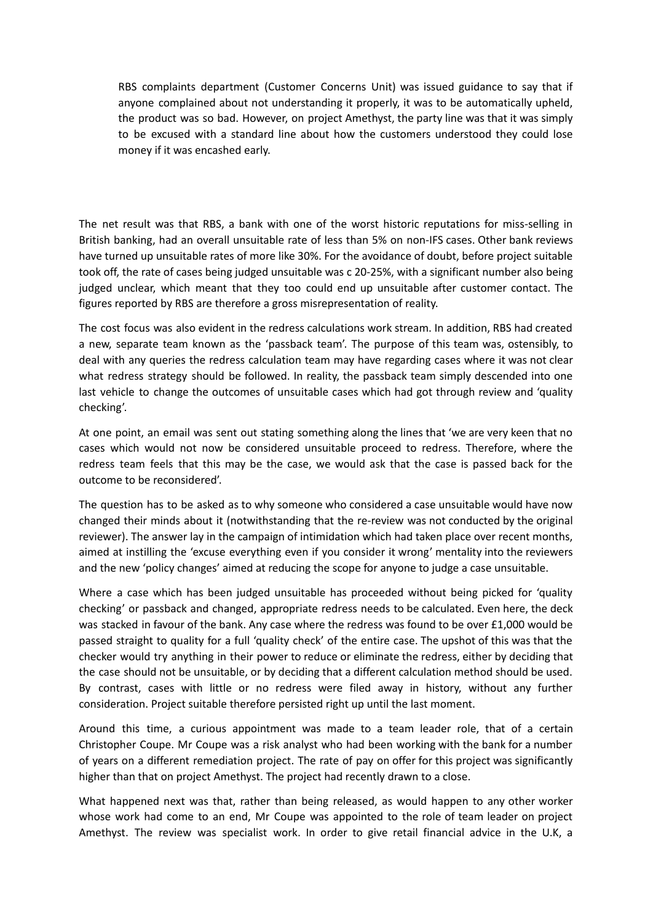RBS complaints department (Customer Concerns Unit) was issued guidance to say that if anyone complained about not understanding it properly, it was to be automatically upheld, the product was so bad. However, on project Amethyst, the party line was that it was simply to be excused with a standard line about how the customers understood they could lose money if it was encashed early.

The net result was that RBS, a bank with one of the worst historic reputations for miss-selling in British banking, had an overall unsuitable rate of less than 5% on non-IFS cases. Other bank reviews have turned up unsuitable rates of more like 30%. For the avoidance of doubt, before project suitable took off, the rate of cases being judged unsuitable was c 20-25%, with a significant number also being judged unclear, which meant that they too could end up unsuitable after customer contact. The figures reported by RBS are therefore a gross misrepresentation of reality.

The cost focus was also evident in the redress calculations work stream. In addition, RBS had created a new, separate team known as the 'passback team'. The purpose of this team was, ostensibly, to deal with any queries the redress calculation team may have regarding cases where it was not clear what redress strategy should be followed. In reality, the passback team simply descended into one last vehicle to change the outcomes of unsuitable cases which had got through review and 'quality checking'.

At one point, an email was sent out stating something along the lines that 'we are very keen that no cases which would not now be considered unsuitable proceed to redress. Therefore, where the redress team feels that this may be the case, we would ask that the case is passed back for the outcome to be reconsidered'.

The question has to be asked as to why someone who considered a case unsuitable would have now changed their minds about it (notwithstanding that the re-review was not conducted by the original reviewer). The answer lay in the campaign of intimidation which had taken place over recent months, aimed at instilling the 'excuse everything even if you consider it wrong' mentality into the reviewers and the new 'policy changes' aimed at reducing the scope for anyone to judge a case unsuitable.

Where a case which has been judged unsuitable has proceeded without being picked for 'quality checking' or passback and changed, appropriate redress needs to be calculated. Even here, the deck was stacked in favour of the bank. Any case where the redress was found to be over £1,000 would be passed straight to quality for a full 'quality check' of the entire case. The upshot of this was that the checker would try anything in their power to reduce or eliminate the redress, either by deciding that the case should not be unsuitable, or by deciding that a different calculation method should be used. By contrast, cases with little or no redress were filed away in history, without any further consideration. Project suitable therefore persisted right up until the last moment.

Around this time, a curious appointment was made to a team leader role, that of a certain Christopher Coupe. Mr Coupe was a risk analyst who had been working with the bank for a number of years on a different remediation project. The rate of pay on offer for this project was significantly higher than that on project Amethyst. The project had recently drawn to a close.

What happened next was that, rather than being released, as would happen to any other worker whose work had come to an end, Mr Coupe was appointed to the role of team leader on project Amethyst. The review was specialist work. In order to give retail financial advice in the U.K, a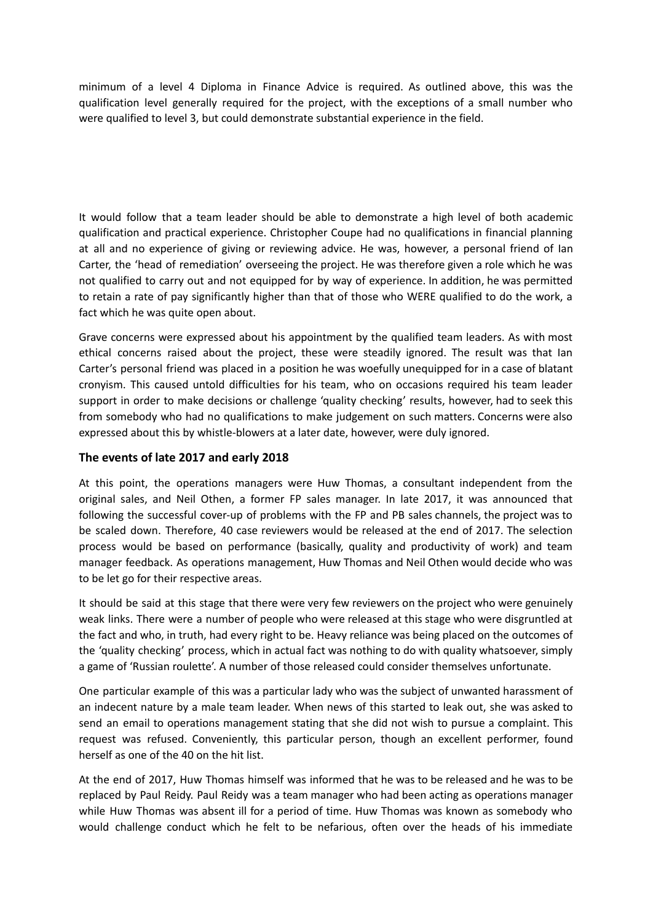minimum of a level 4 Diploma in Finance Advice is required. As outlined above, this was the qualification level generally required for the project, with the exceptions of a small number who were qualified to level 3, but could demonstrate substantial experience in the field.

It would follow that a team leader should be able to demonstrate a high level of both academic qualification and practical experience. Christopher Coupe had no qualifications in financial planning at all and no experience of giving or reviewing advice. He was, however, a personal friend of Ian Carter, the 'head of remediation' overseeing the project. He was therefore given a role which he was not qualified to carry out and not equipped for by way of experience. In addition, he was permitted to retain a rate of pay significantly higher than that of those who WERE qualified to do the work, a fact which he was quite open about.

Grave concerns were expressed about his appointment by the qualified team leaders. As with most ethical concerns raised about the project, these were steadily ignored. The result was that Ian Carter's personal friend was placed in a position he was woefully unequipped for in a case of blatant cronyism. This caused untold difficulties for his team, who on occasions required his team leader support in order to make decisions or challenge 'quality checking' results, however, had to seek this from somebody who had no qualifications to make judgement on such matters. Concerns were also expressed about this by whistle-blowers at a later date, however, were duly ignored.

# **The events of late 2017 and early 2018**

At this point, the operations managers were Huw Thomas, a consultant independent from the original sales, and Neil Othen, a former FP sales manager. In late 2017, it was announced that following the successful cover-up of problems with the FP and PB sales channels, the project was to be scaled down. Therefore, 40 case reviewers would be released at the end of 2017. The selection process would be based on performance (basically, quality and productivity of work) and team manager feedback. As operations management, Huw Thomas and Neil Othen would decide who was to be let go for their respective areas.

It should be said at this stage that there were very few reviewers on the project who were genuinely weak links. There were a number of people who were released at this stage who were disgruntled at the fact and who, in truth, had every right to be. Heavy reliance was being placed on the outcomes of the 'quality checking' process, which in actual fact was nothing to do with quality whatsoever, simply a game of 'Russian roulette'. A number of those released could consider themselves unfortunate.

One particular example of this was a particular lady who was the subject of unwanted harassment of an indecent nature by a male team leader. When news of this started to leak out, she was asked to send an email to operations management stating that she did not wish to pursue a complaint. This request was refused. Conveniently, this particular person, though an excellent performer, found herself as one of the 40 on the hit list.

At the end of 2017, Huw Thomas himself was informed that he was to be released and he was to be replaced by Paul Reidy. Paul Reidy was a team manager who had been acting as operations manager while Huw Thomas was absent ill for a period of time. Huw Thomas was known as somebody who would challenge conduct which he felt to be nefarious, often over the heads of his immediate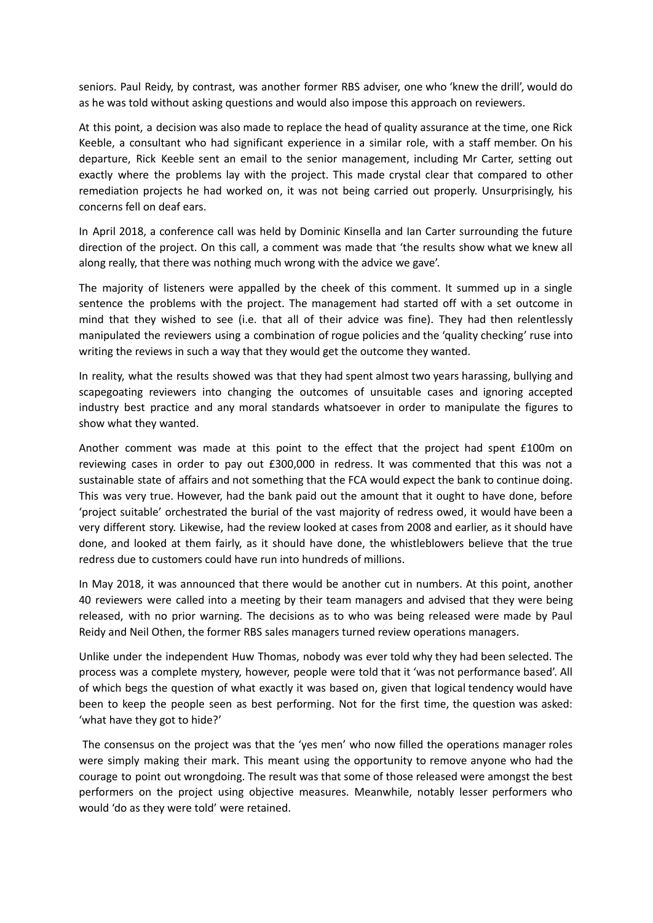seniors. Paul Reidy, by contrast, was another former RBS adviser, one who 'knew the drill', would do as he was told without asking questions and would also impose this approach on reviewers.

At this point, a decision was also made to replace the head of quality assurance at the time, one Rick Keeble, a consultant who had significant experience in a similar role, with a staff member. On his departure, Rick Keeble sent an email to the senior management, including Mr Carter, setting out exactly where the problems lay with the project. This made crystal clear that compared to other remediation projects he had worked on, it was not being carried out properly. Unsurprisingly, his concerns fell on deaf ears.

In April 2018, a conference call was held by Dominic Kinsella and Ian Carter surrounding the future direction of the project. On this call, a comment was made that 'the results show what we knew all along really, that there was nothing much wrong with the advice we gave'.

The majority of listeners were appalled by the cheek of this comment. It summed up in a single sentence the problems with the project. The management had started off with a set outcome in mind that they wished to see (i.e. that all of their advice was fine). They had then relentlessly manipulated the reviewers using a combination of rogue policies and the 'quality checking' ruse into writing the reviews in such a way that they would get the outcome they wanted.

In reality, what the results showed was that they had spent almost two years harassing, bullying and scapegoating reviewers into changing the outcomes of unsuitable cases and ignoring accepted industry best practice and any moral standards whatsoever in order to manipulate the figures to show what they wanted.

Another comment was made at this point to the effect that the project had spent £100m on reviewing cases in order to pay out £300,000 in redress. It was commented that this was not a sustainable state of affairs and not something that the FCA would expect the bank to continue doing. This was very true. However, had the bank paid out the amount that it ought to have done, before 'project suitable' orchestrated the burial of the vast majority of redress owed, it would have been a very different story. Likewise, had the review looked at cases from 2008 and earlier, as it should have done, and looked at them fairly, as it should have done, the whistleblowers believe that the true redress due to customers could have run into hundreds of millions.

In May 2018, it was announced that there would be another cut in numbers. At this point, another 40 reviewers were called into a meeting by their team managers and advised that they were being released, with no prior warning. The decisions as to who was being released were made by Paul Reidy and Neil Othen, the former RBS sales managers turned review operations managers.

Unlike under the independent Huw Thomas, nobody was ever told why they had been selected. The process was a complete mystery, however, people were told that it 'was not performance based'. All of which begs the question of what exactly it was based on, given that logical tendency would have been to keep the people seen as best performing. Not for the first time, the question was asked: 'what have they got to hide?'

The consensus on the project was that the 'yes men' who now filled the operations manager roles were simply making their mark. This meant using the opportunity to remove anyone who had the courage to point out wrongdoing. The result was that some of those released were amongst the best performers on the project using objective measures. Meanwhile, notably lesser performers who would 'do as they were told' were retained.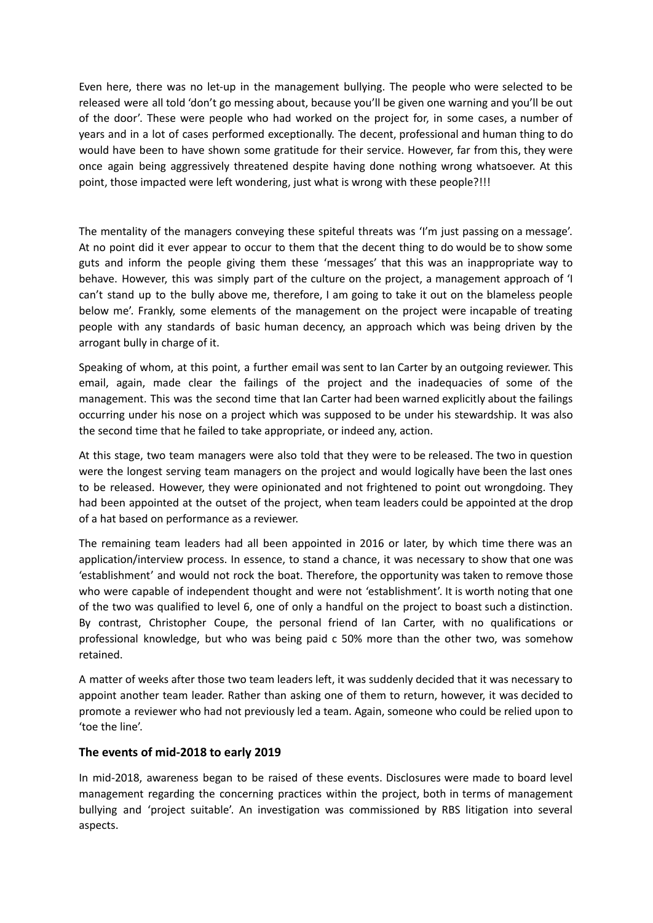Even here, there was no let-up in the management bullying. The people who were selected to be released were all told 'don't go messing about, because you'll be given one warning and you'll be out of the door'. These were people who had worked on the project for, in some cases, a number of years and in a lot of cases performed exceptionally. The decent, professional and human thing to do would have been to have shown some gratitude for their service. However, far from this, they were once again being aggressively threatened despite having done nothing wrong whatsoever. At this point, those impacted were left wondering, just what is wrong with these people?!!!

The mentality of the managers conveying these spiteful threats was 'I'm just passing on a message'. At no point did it ever appear to occur to them that the decent thing to do would be to show some guts and inform the people giving them these 'messages' that this was an inappropriate way to behave. However, this was simply part of the culture on the project, a management approach of 'I can't stand up to the bully above me, therefore, I am going to take it out on the blameless people below me'. Frankly, some elements of the management on the project were incapable of treating people with any standards of basic human decency, an approach which was being driven by the arrogant bully in charge of it.

Speaking of whom, at this point, a further email was sent to Ian Carter by an outgoing reviewer. This email, again, made clear the failings of the project and the inadequacies of some of the management. This was the second time that Ian Carter had been warned explicitly about the failings occurring under his nose on a project which was supposed to be under his stewardship. It was also the second time that he failed to take appropriate, or indeed any, action.

At this stage, two team managers were also told that they were to be released. The two in question were the longest serving team managers on the project and would logically have been the last ones to be released. However, they were opinionated and not frightened to point out wrongdoing. They had been appointed at the outset of the project, when team leaders could be appointed at the drop of a hat based on performance as a reviewer.

The remaining team leaders had all been appointed in 2016 or later, by which time there was an application/interview process. In essence, to stand a chance, it was necessary to show that one was 'establishment' and would not rock the boat. Therefore, the opportunity was taken to remove those who were capable of independent thought and were not 'establishment'. It is worth noting that one of the two was qualified to level 6, one of only a handful on the project to boast such a distinction. By contrast, Christopher Coupe, the personal friend of Ian Carter, with no qualifications or professional knowledge, but who was being paid c 50% more than the other two, was somehow retained.

A matter of weeks after those two team leaders left, it was suddenly decided that it was necessary to appoint another team leader. Rather than asking one of them to return, however, it was decided to promote a reviewer who had not previously led a team. Again, someone who could be relied upon to 'toe the line'.

#### **The events of mid-2018 to early 2019**

In mid-2018, awareness began to be raised of these events. Disclosures were made to board level management regarding the concerning practices within the project, both in terms of management bullying and 'project suitable'. An investigation was commissioned by RBS litigation into several aspects.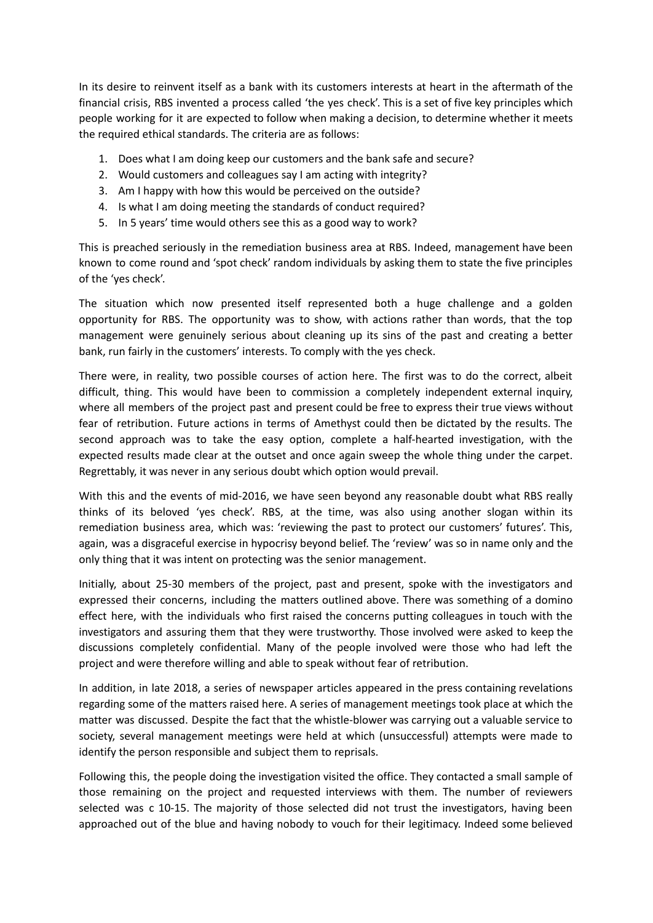In its desire to reinvent itself as a bank with its customers interests at heart in the aftermath of the financial crisis, RBS invented a process called 'the yes check'. This is a set of five key principles which people working for it are expected to follow when making a decision, to determine whether it meets the required ethical standards. The criteria are as follows:

- 1. Does what I am doing keep our customers and the bank safe and secure?
- 2. Would customers and colleagues say I am acting with integrity?
- 3. Am I happy with how this would be perceived on the outside?
- 4. Is what I am doing meeting the standards of conduct required?
- 5. In 5 years' time would others see this as a good way to work?

This is preached seriously in the remediation business area at RBS. Indeed, management have been known to come round and 'spot check' random individuals by asking them to state the five principles of the 'yes check'.

The situation which now presented itself represented both a huge challenge and a golden opportunity for RBS. The opportunity was to show, with actions rather than words, that the top management were genuinely serious about cleaning up its sins of the past and creating a better bank, run fairly in the customers' interests. To comply with the yes check.

There were, in reality, two possible courses of action here. The first was to do the correct, albeit difficult, thing. This would have been to commission a completely independent external inquiry, where all members of the project past and present could be free to express their true views without fear of retribution. Future actions in terms of Amethyst could then be dictated by the results. The second approach was to take the easy option, complete a half-hearted investigation, with the expected results made clear at the outset and once again sweep the whole thing under the carpet. Regrettably, it was never in any serious doubt which option would prevail.

With this and the events of mid-2016, we have seen beyond any reasonable doubt what RBS really thinks of its beloved 'yes check'. RBS, at the time, was also using another slogan within its remediation business area, which was: 'reviewing the past to protect our customers' futures'. This, again, was a disgraceful exercise in hypocrisy beyond belief. The 'review' was so in name only and the only thing that it was intent on protecting was the senior management.

Initially, about 25-30 members of the project, past and present, spoke with the investigators and expressed their concerns, including the matters outlined above. There was something of a domino effect here, with the individuals who first raised the concerns putting colleagues in touch with the investigators and assuring them that they were trustworthy. Those involved were asked to keep the discussions completely confidential. Many of the people involved were those who had left the project and were therefore willing and able to speak without fear of retribution.

In addition, in late 2018, a series of newspaper articles appeared in the press containing revelations regarding some of the matters raised here. A series of management meetings took place at which the matter was discussed. Despite the fact that the whistle-blower was carrying out a valuable service to society, several management meetings were held at which (unsuccessful) attempts were made to identify the person responsible and subject them to reprisals.

Following this, the people doing the investigation visited the office. They contacted a small sample of those remaining on the project and requested interviews with them. The number of reviewers selected was c 10-15. The majority of those selected did not trust the investigators, having been approached out of the blue and having nobody to vouch for their legitimacy. Indeed some believed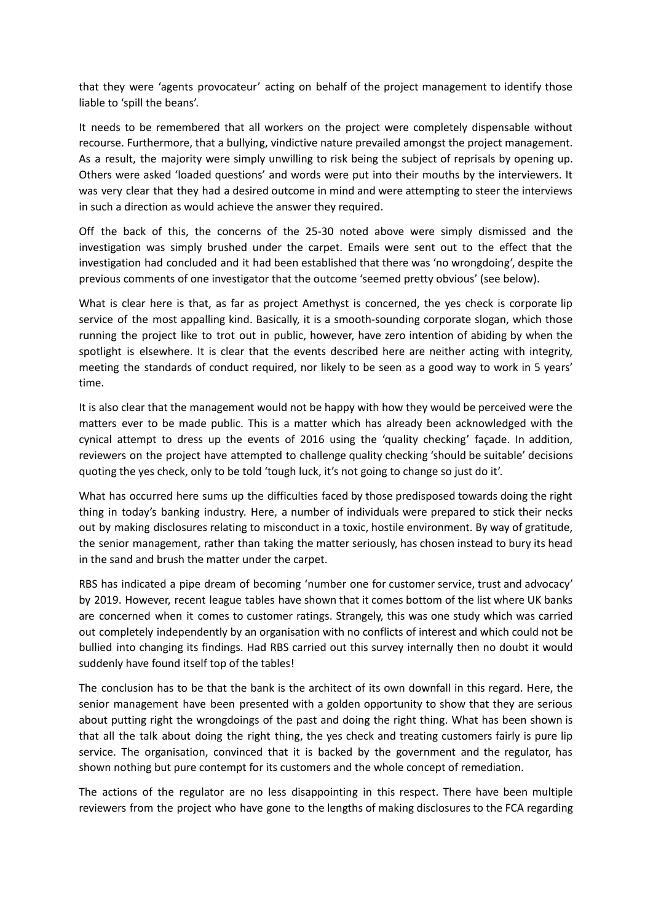that they were 'agents provocateur' acting on behalf of the project management to identify those liable to 'spill the beans'.

It needs to be remembered that all workers on the project were completely dispensable without recourse. Furthermore, that a bullying, vindictive nature prevailed amongst the project management. As a result, the majority were simply unwilling to risk being the subject of reprisals by opening up. Others were asked 'loaded questions' and words were put into their mouths by the interviewers. It was very clear that they had a desired outcome in mind and were attempting to steer the interviews in such a direction as would achieve the answer they required.

Off the back of this, the concerns of the 25-30 noted above were simply dismissed and the investigation was simply brushed under the carpet. Emails were sent out to the effect that the investigation had concluded and it had been established that there was 'no wrongdoing', despite the previous comments of one investigator that the outcome 'seemed pretty obvious' (see below).

What is clear here is that, as far as project Amethyst is concerned, the yes check is corporate lip service of the most appalling kind. Basically, it is a smooth-sounding corporate slogan, which those running the project like to trot out in public, however, have zero intention of abiding by when the spotlight is elsewhere. It is clear that the events described here are neither acting with integrity, meeting the standards of conduct required, nor likely to be seen as a good way to work in 5 years' time.

It is also clear that the management would not be happy with how they would be perceived were the matters ever to be made public. This is a matter which has already been acknowledged with the cynical attempt to dress up the events of 2016 using the 'quality checking' façade. In addition, reviewers on the project have attempted to challenge quality checking 'should be suitable' decisions quoting the yes check, only to be told 'tough luck, it's not going to change so just do it'.

What has occurred here sums up the difficulties faced by those predisposed towards doing the right thing in today's banking industry. Here, a number of individuals were prepared to stick their necks out by making disclosures relating to misconduct in a toxic, hostile environment. By way of gratitude, the senior management, rather than taking the matter seriously, has chosen instead to bury its head in the sand and brush the matter under the carpet.

RBS has indicated a pipe dream of becoming 'number one for customer service, trust and advocacy' by 2019. However, recent league tables have shown that it comes bottom of the list where UK banks are concerned when it comes to customer ratings. Strangely, this was one study which was carried out completely independently by an organisation with no conflicts of interest and which could not be bullied into changing its findings. Had RBS carried out this survey internally then no doubt it would suddenly have found itself top of the tables!

The conclusion has to be that the bank is the architect of its own downfall in this regard. Here, the senior management have been presented with a golden opportunity to show that they are serious about putting right the wrongdoings of the past and doing the right thing. What has been shown is that all the talk about doing the right thing, the yes check and treating customers fairly is pure lip service. The organisation, convinced that it is backed by the government and the regulator, has shown nothing but pure contempt for its customers and the whole concept of remediation.

The actions of the regulator are no less disappointing in this respect. There have been multiple reviewers from the project who have gone to the lengths of making disclosures to the FCA regarding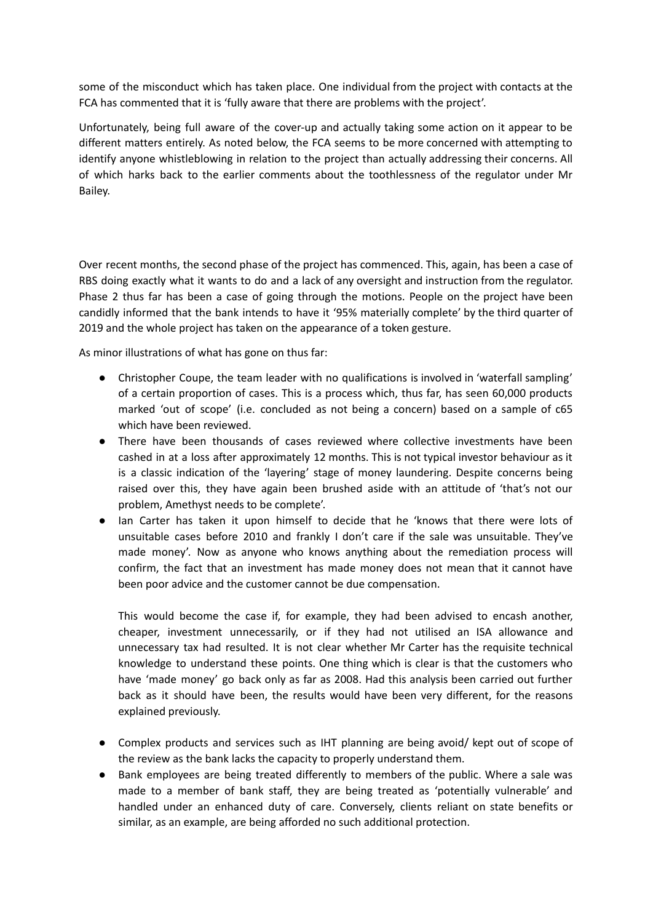some of the misconduct which has taken place. One individual from the project with contacts at the FCA has commented that it is 'fully aware that there are problems with the project'.

Unfortunately, being full aware of the cover-up and actually taking some action on it appear to be different matters entirely. As noted below, the FCA seems to be more concerned with attempting to identify anyone whistleblowing in relation to the project than actually addressing their concerns. All of which harks back to the earlier comments about the toothlessness of the regulator under Mr Bailey.

Over recent months, the second phase of the project has commenced. This, again, has been a case of RBS doing exactly what it wants to do and a lack of any oversight and instruction from the regulator. Phase 2 thus far has been a case of going through the motions. People on the project have been candidly informed that the bank intends to have it '95% materially complete' by the third quarter of 2019 and the whole project has taken on the appearance of a token gesture.

As minor illustrations of what has gone on thus far:

- Christopher Coupe, the team leader with no qualifications is involved in 'waterfall sampling' of a certain proportion of cases. This is a process which, thus far, has seen 60,000 products marked 'out of scope' (i.e. concluded as not being a concern) based on a sample of c65 which have been reviewed.
- There have been thousands of cases reviewed where collective investments have been cashed in at a loss after approximately 12 months. This is not typical investor behaviour as it is a classic indication of the 'layering' stage of money laundering. Despite concerns being raised over this, they have again been brushed aside with an attitude of 'that's not our problem, Amethyst needs to be complete'.
- Ian Carter has taken it upon himself to decide that he 'knows that there were lots of unsuitable cases before 2010 and frankly I don't care if the sale was unsuitable. They've made money'. Now as anyone who knows anything about the remediation process will confirm, the fact that an investment has made money does not mean that it cannot have been poor advice and the customer cannot be due compensation.

This would become the case if, for example, they had been advised to encash another, cheaper, investment unnecessarily, or if they had not utilised an ISA allowance and unnecessary tax had resulted. It is not clear whether Mr Carter has the requisite technical knowledge to understand these points. One thing which is clear is that the customers who have 'made money' go back only as far as 2008. Had this analysis been carried out further back as it should have been, the results would have been very different, for the reasons explained previously.

- Complex products and services such as IHT planning are being avoid/ kept out of scope of the review as the bank lacks the capacity to properly understand them.
- Bank employees are being treated differently to members of the public. Where a sale was made to a member of bank staff, they are being treated as 'potentially vulnerable' and handled under an enhanced duty of care. Conversely, clients reliant on state benefits or similar, as an example, are being afforded no such additional protection.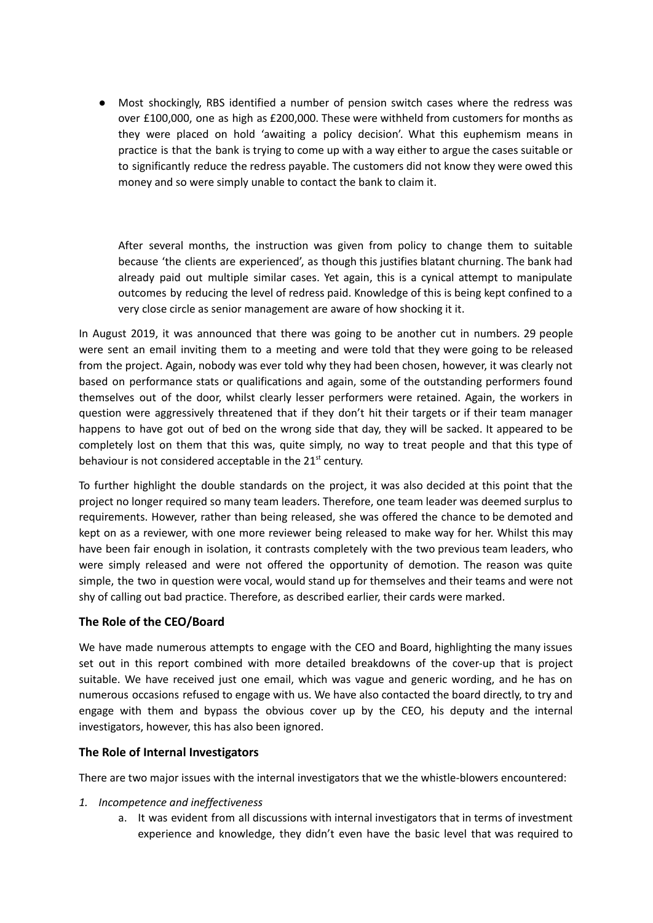● Most shockingly, RBS identified a number of pension switch cases where the redress was over £100,000, one as high as £200,000. These were withheld from customers for months as they were placed on hold 'awaiting a policy decision'. What this euphemism means in practice is that the bank is trying to come up with a way either to argue the cases suitable or to significantly reduce the redress payable. The customers did not know they were owed this money and so were simply unable to contact the bank to claim it.

After several months, the instruction was given from policy to change them to suitable because 'the clients are experienced', as though this justifies blatant churning. The bank had already paid out multiple similar cases. Yet again, this is a cynical attempt to manipulate outcomes by reducing the level of redress paid. Knowledge of this is being kept confined to a very close circle as senior management are aware of how shocking it it.

In August 2019, it was announced that there was going to be another cut in numbers. 29 people were sent an email inviting them to a meeting and were told that they were going to be released from the project. Again, nobody was ever told why they had been chosen, however, it was clearly not based on performance stats or qualifications and again, some of the outstanding performers found themselves out of the door, whilst clearly lesser performers were retained. Again, the workers in question were aggressively threatened that if they don't hit their targets or if their team manager happens to have got out of bed on the wrong side that day, they will be sacked. It appeared to be completely lost on them that this was, quite simply, no way to treat people and that this type of behaviour is not considered acceptable in the 21<sup>st</sup> century.

To further highlight the double standards on the project, it was also decided at this point that the project no longer required so many team leaders. Therefore, one team leader was deemed surplus to requirements. However, rather than being released, she was offered the chance to be demoted and kept on as a reviewer, with one more reviewer being released to make way for her. Whilst this may have been fair enough in isolation, it contrasts completely with the two previous team leaders, who were simply released and were not offered the opportunity of demotion. The reason was quite simple, the two in question were vocal, would stand up for themselves and their teams and were not shy of calling out bad practice. Therefore, as described earlier, their cards were marked.

# **The Role of the CEO/Board**

We have made numerous attempts to engage with the CEO and Board, highlighting the many issues set out in this report combined with more detailed breakdowns of the cover-up that is project suitable. We have received just one email, which was vague and generic wording, and he has on numerous occasions refused to engage with us. We have also contacted the board directly, to try and engage with them and bypass the obvious cover up by the CEO, his deputy and the internal investigators, however, this has also been ignored.

#### **The Role of Internal Investigators**

There are two major issues with the internal investigators that we the whistle-blowers encountered:

- *1. Incompetence and ineffectiveness*
	- a. It was evident from all discussions with internal investigators that in terms of investment experience and knowledge, they didn't even have the basic level that was required to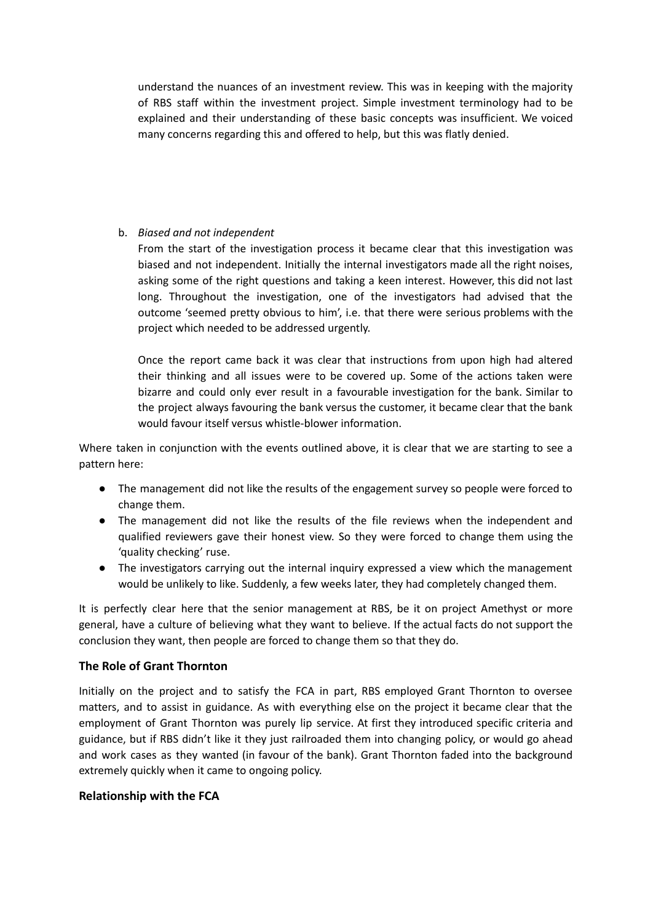understand the nuances of an investment review. This was in keeping with the majority of RBS staff within the investment project. Simple investment terminology had to be explained and their understanding of these basic concepts was insufficient. We voiced many concerns regarding this and offered to help, but this was flatly denied.

## b. *Biased and not independent*

From the start of the investigation process it became clear that this investigation was biased and not independent. Initially the internal investigators made all the right noises, asking some of the right questions and taking a keen interest. However, this did not last long. Throughout the investigation, one of the investigators had advised that the outcome 'seemed pretty obvious to him', i.e. that there were serious problems with the project which needed to be addressed urgently.

Once the report came back it was clear that instructions from upon high had altered their thinking and all issues were to be covered up. Some of the actions taken were bizarre and could only ever result in a favourable investigation for the bank. Similar to the project always favouring the bank versus the customer, it became clear that the bank would favour itself versus whistle-blower information.

Where taken in conjunction with the events outlined above, it is clear that we are starting to see a pattern here:

- The management did not like the results of the engagement survey so people were forced to change them.
- The management did not like the results of the file reviews when the independent and qualified reviewers gave their honest view. So they were forced to change them using the 'quality checking' ruse.
- The investigators carrying out the internal inquiry expressed a view which the management would be unlikely to like. Suddenly, a few weeks later, they had completely changed them.

It is perfectly clear here that the senior management at RBS, be it on project Amethyst or more general, have a culture of believing what they want to believe. If the actual facts do not support the conclusion they want, then people are forced to change them so that they do.

# **The Role of Grant Thornton**

Initially on the project and to satisfy the FCA in part, RBS employed Grant Thornton to oversee matters, and to assist in guidance. As with everything else on the project it became clear that the employment of Grant Thornton was purely lip service. At first they introduced specific criteria and guidance, but if RBS didn't like it they just railroaded them into changing policy, or would go ahead and work cases as they wanted (in favour of the bank). Grant Thornton faded into the background extremely quickly when it came to ongoing policy.

#### **Relationship with the FCA**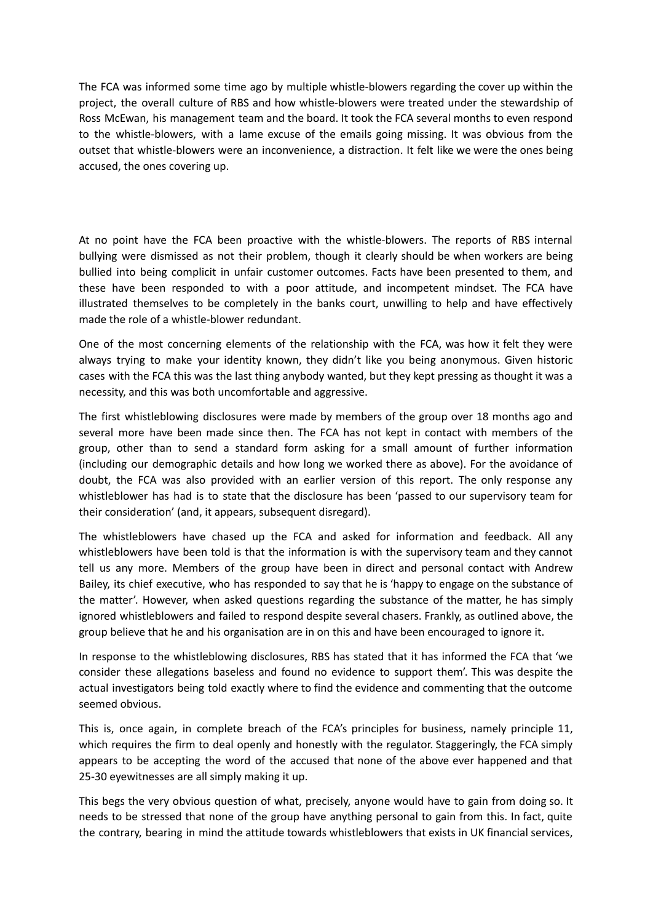The FCA was informed some time ago by multiple whistle-blowers regarding the cover up within the project, the overall culture of RBS and how whistle-blowers were treated under the stewardship of Ross McEwan, his management team and the board. It took the FCA several months to even respond to the whistle-blowers, with a lame excuse of the emails going missing. It was obvious from the outset that whistle-blowers were an inconvenience, a distraction. It felt like we were the ones being accused, the ones covering up.

At no point have the FCA been proactive with the whistle-blowers. The reports of RBS internal bullying were dismissed as not their problem, though it clearly should be when workers are being bullied into being complicit in unfair customer outcomes. Facts have been presented to them, and these have been responded to with a poor attitude, and incompetent mindset. The FCA have illustrated themselves to be completely in the banks court, unwilling to help and have effectively made the role of a whistle-blower redundant.

One of the most concerning elements of the relationship with the FCA, was how it felt they were always trying to make your identity known, they didn't like you being anonymous. Given historic cases with the FCA this was the last thing anybody wanted, but they kept pressing as thought it was a necessity, and this was both uncomfortable and aggressive.

The first whistleblowing disclosures were made by members of the group over 18 months ago and several more have been made since then. The FCA has not kept in contact with members of the group, other than to send a standard form asking for a small amount of further information (including our demographic details and how long we worked there as above). For the avoidance of doubt, the FCA was also provided with an earlier version of this report. The only response any whistleblower has had is to state that the disclosure has been 'passed to our supervisory team for their consideration' (and, it appears, subsequent disregard).

The whistleblowers have chased up the FCA and asked for information and feedback. All any whistleblowers have been told is that the information is with the supervisory team and they cannot tell us any more. Members of the group have been in direct and personal contact with Andrew Bailey, its chief executive, who has responded to say that he is 'happy to engage on the substance of the matter'. However, when asked questions regarding the substance of the matter, he has simply ignored whistleblowers and failed to respond despite several chasers. Frankly, as outlined above, the group believe that he and his organisation are in on this and have been encouraged to ignore it.

In response to the whistleblowing disclosures, RBS has stated that it has informed the FCA that 'we consider these allegations baseless and found no evidence to support them'. This was despite the actual investigators being told exactly where to find the evidence and commenting that the outcome seemed obvious.

This is, once again, in complete breach of the FCA's principles for business, namely principle 11, which requires the firm to deal openly and honestly with the regulator. Staggeringly, the FCA simply appears to be accepting the word of the accused that none of the above ever happened and that 25-30 eyewitnesses are all simply making it up.

This begs the very obvious question of what, precisely, anyone would have to gain from doing so. It needs to be stressed that none of the group have anything personal to gain from this. In fact, quite the contrary, bearing in mind the attitude towards whistleblowers that exists in UK financial services,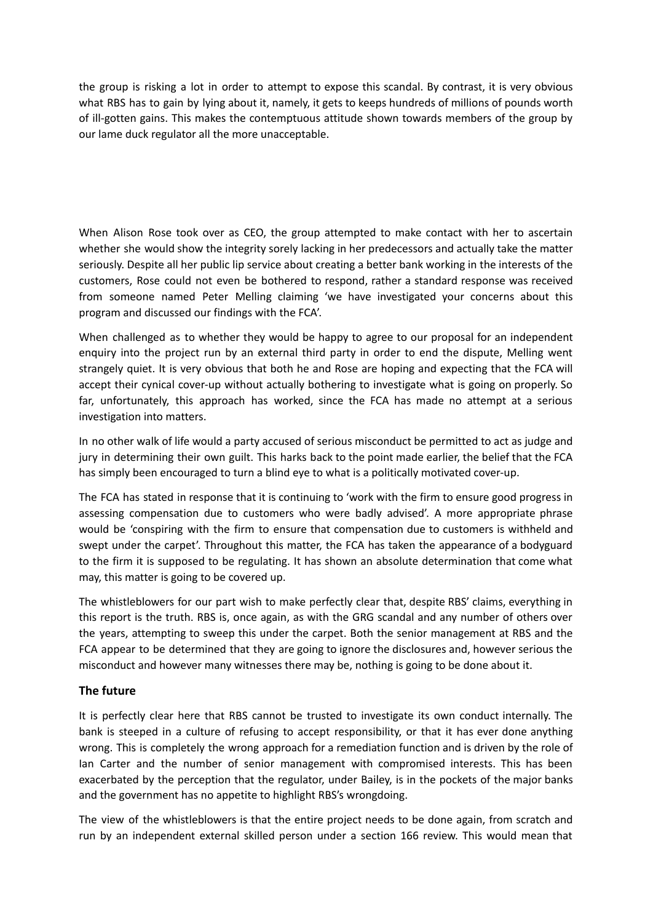the group is risking a lot in order to attempt to expose this scandal. By contrast, it is very obvious what RBS has to gain by lying about it, namely, it gets to keeps hundreds of millions of pounds worth of ill-gotten gains. This makes the contemptuous attitude shown towards members of the group by our lame duck regulator all the more unacceptable.

When Alison Rose took over as CEO, the group attempted to make contact with her to ascertain whether she would show the integrity sorely lacking in her predecessors and actually take the matter seriously. Despite all her public lip service about creating a better bank working in the interests of the customers, Rose could not even be bothered to respond, rather a standard response was received from someone named Peter Melling claiming 'we have investigated your concerns about this program and discussed our findings with the FCA'.

When challenged as to whether they would be happy to agree to our proposal for an independent enquiry into the project run by an external third party in order to end the dispute, Melling went strangely quiet. It is very obvious that both he and Rose are hoping and expecting that the FCA will accept their cynical cover-up without actually bothering to investigate what is going on properly. So far, unfortunately, this approach has worked, since the FCA has made no attempt at a serious investigation into matters.

In no other walk of life would a party accused of serious misconduct be permitted to act as judge and jury in determining their own guilt. This harks back to the point made earlier, the belief that the FCA has simply been encouraged to turn a blind eye to what is a politically motivated cover-up.

The FCA has stated in response that it is continuing to 'work with the firm to ensure good progress in assessing compensation due to customers who were badly advised'. A more appropriate phrase would be 'conspiring with the firm to ensure that compensation due to customers is withheld and swept under the carpet'. Throughout this matter, the FCA has taken the appearance of a bodyguard to the firm it is supposed to be regulating. It has shown an absolute determination that come what may, this matter is going to be covered up.

The whistleblowers for our part wish to make perfectly clear that, despite RBS' claims, everything in this report is the truth. RBS is, once again, as with the GRG scandal and any number of others over the years, attempting to sweep this under the carpet. Both the senior management at RBS and the FCA appear to be determined that they are going to ignore the disclosures and, however serious the misconduct and however many witnesses there may be, nothing is going to be done about it.

# **The future**

It is perfectly clear here that RBS cannot be trusted to investigate its own conduct internally. The bank is steeped in a culture of refusing to accept responsibility, or that it has ever done anything wrong. This is completely the wrong approach for a remediation function and is driven by the role of Ian Carter and the number of senior management with compromised interests. This has been exacerbated by the perception that the regulator, under Bailey, is in the pockets of the major banks and the government has no appetite to highlight RBS's wrongdoing.

The view of the whistleblowers is that the entire project needs to be done again, from scratch and run by an independent external skilled person under a section 166 review. This would mean that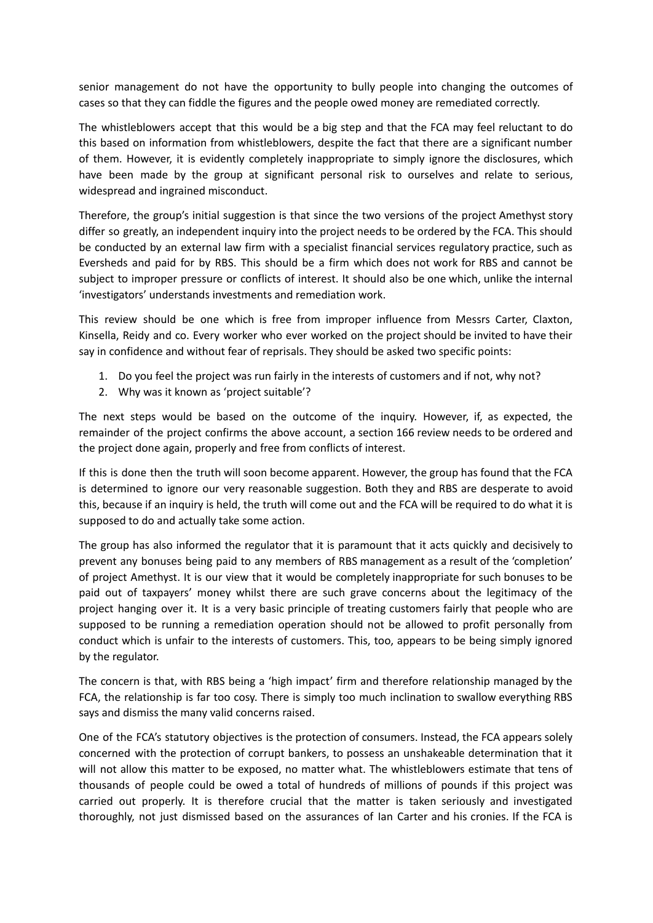senior management do not have the opportunity to bully people into changing the outcomes of cases so that they can fiddle the figures and the people owed money are remediated correctly.

The whistleblowers accept that this would be a big step and that the FCA may feel reluctant to do this based on information from whistleblowers, despite the fact that there are a significant number of them. However, it is evidently completely inappropriate to simply ignore the disclosures, which have been made by the group at significant personal risk to ourselves and relate to serious, widespread and ingrained misconduct.

Therefore, the group's initial suggestion is that since the two versions of the project Amethyst story differ so greatly, an independent inquiry into the project needs to be ordered by the FCA. This should be conducted by an external law firm with a specialist financial services regulatory practice, such as Eversheds and paid for by RBS. This should be a firm which does not work for RBS and cannot be subject to improper pressure or conflicts of interest. It should also be one which, unlike the internal 'investigators' understands investments and remediation work.

This review should be one which is free from improper influence from Messrs Carter, Claxton, Kinsella, Reidy and co. Every worker who ever worked on the project should be invited to have their say in confidence and without fear of reprisals. They should be asked two specific points:

- 1. Do you feel the project was run fairly in the interests of customers and if not, why not?
- 2. Why was it known as 'project suitable'?

The next steps would be based on the outcome of the inquiry. However, if, as expected, the remainder of the project confirms the above account, a section 166 review needs to be ordered and the project done again, properly and free from conflicts of interest.

If this is done then the truth will soon become apparent. However, the group has found that the FCA is determined to ignore our very reasonable suggestion. Both they and RBS are desperate to avoid this, because if an inquiry is held, the truth will come out and the FCA will be required to do what it is supposed to do and actually take some action.

The group has also informed the regulator that it is paramount that it acts quickly and decisively to prevent any bonuses being paid to any members of RBS management as a result of the 'completion' of project Amethyst. It is our view that it would be completely inappropriate for such bonuses to be paid out of taxpayers' money whilst there are such grave concerns about the legitimacy of the project hanging over it. It is a very basic principle of treating customers fairly that people who are supposed to be running a remediation operation should not be allowed to profit personally from conduct which is unfair to the interests of customers. This, too, appears to be being simply ignored by the regulator.

The concern is that, with RBS being a 'high impact' firm and therefore relationship managed by the FCA, the relationship is far too cosy. There is simply too much inclination to swallow everything RBS says and dismiss the many valid concerns raised.

One of the FCA's statutory objectives is the protection of consumers. Instead, the FCA appears solely concerned with the protection of corrupt bankers, to possess an unshakeable determination that it will not allow this matter to be exposed, no matter what. The whistleblowers estimate that tens of thousands of people could be owed a total of hundreds of millions of pounds if this project was carried out properly. It is therefore crucial that the matter is taken seriously and investigated thoroughly, not just dismissed based on the assurances of Ian Carter and his cronies. If the FCA is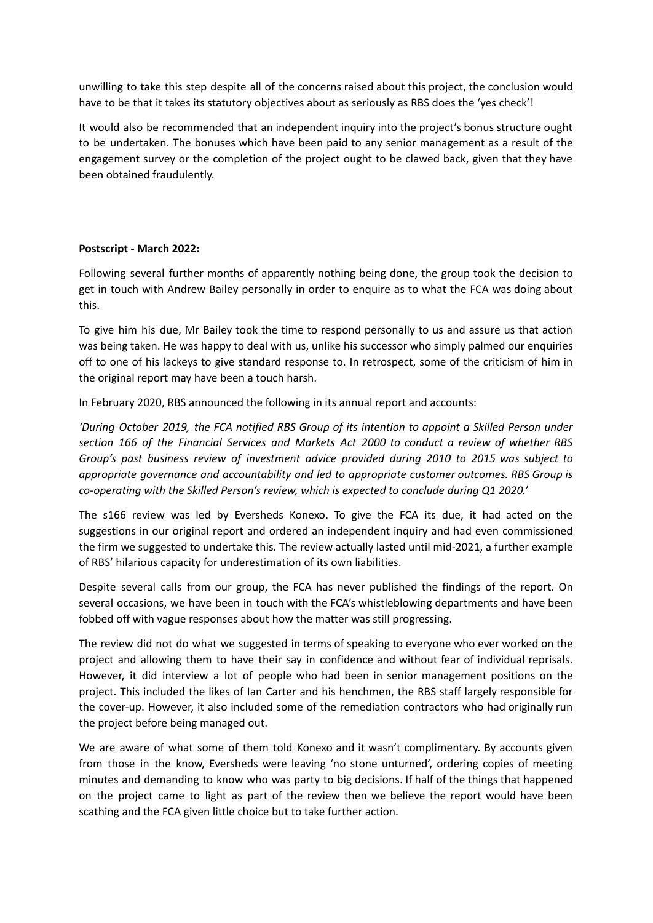unwilling to take this step despite all of the concerns raised about this project, the conclusion would have to be that it takes its statutory objectives about as seriously as RBS does the 'yes check'!

It would also be recommended that an independent inquiry into the project's bonus structure ought to be undertaken. The bonuses which have been paid to any senior management as a result of the engagement survey or the completion of the project ought to be clawed back, given that they have been obtained fraudulently.

## **Postscript - March 2022:**

Following several further months of apparently nothing being done, the group took the decision to get in touch with Andrew Bailey personally in order to enquire as to what the FCA was doing about this.

To give him his due, Mr Bailey took the time to respond personally to us and assure us that action was being taken. He was happy to deal with us, unlike his successor who simply palmed our enquiries off to one of his lackeys to give standard response to. In retrospect, some of the criticism of him in the original report may have been a touch harsh.

In February 2020, RBS announced the following in its annual report and accounts:

*'During October 2019, the FCA notified RBS Group of its intention to appoint a Skilled Person under section 166 of the Financial Services and Markets Act 2000 to conduct a review of whether RBS Group's past business review of investment advice provided during 2010 to 2015 was subject to appropriate governance and accountability and led to appropriate customer outcomes. RBS Group is co-operating with the Skilled Person's review, which is expected to conclude during Q1 2020.'*

The s166 review was led by Eversheds Konexo. To give the FCA its due, it had acted on the suggestions in our original report and ordered an independent inquiry and had even commissioned the firm we suggested to undertake this. The review actually lasted until mid-2021, a further example of RBS' hilarious capacity for underestimation of its own liabilities.

Despite several calls from our group, the FCA has never published the findings of the report. On several occasions, we have been in touch with the FCA's whistleblowing departments and have been fobbed off with vague responses about how the matter was still progressing.

The review did not do what we suggested in terms of speaking to everyone who ever worked on the project and allowing them to have their say in confidence and without fear of individual reprisals. However, it did interview a lot of people who had been in senior management positions on the project. This included the likes of Ian Carter and his henchmen, the RBS staff largely responsible for the cover-up. However, it also included some of the remediation contractors who had originally run the project before being managed out.

We are aware of what some of them told Konexo and it wasn't complimentary. By accounts given from those in the know, Eversheds were leaving 'no stone unturned', ordering copies of meeting minutes and demanding to know who was party to big decisions. If half of the things that happened on the project came to light as part of the review then we believe the report would have been scathing and the FCA given little choice but to take further action.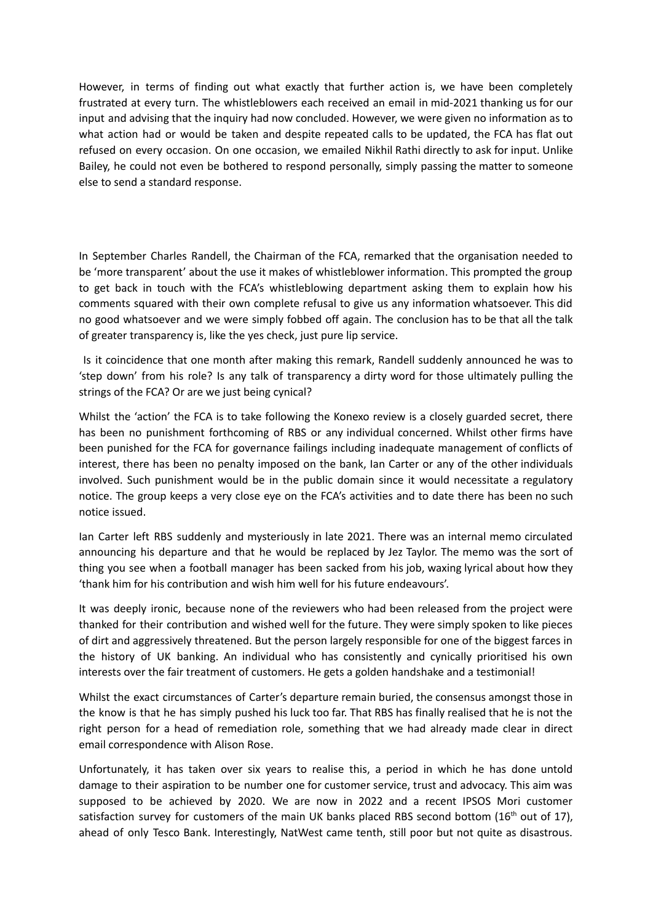However, in terms of finding out what exactly that further action is, we have been completely frustrated at every turn. The whistleblowers each received an email in mid-2021 thanking us for our input and advising that the inquiry had now concluded. However, we were given no information as to what action had or would be taken and despite repeated calls to be updated, the FCA has flat out refused on every occasion. On one occasion, we emailed Nikhil Rathi directly to ask for input. Unlike Bailey, he could not even be bothered to respond personally, simply passing the matter to someone else to send a standard response.

In September Charles Randell, the Chairman of the FCA, remarked that the organisation needed to be 'more transparent' about the use it makes of whistleblower information. This prompted the group to get back in touch with the FCA's whistleblowing department asking them to explain how his comments squared with their own complete refusal to give us any information whatsoever. This did no good whatsoever and we were simply fobbed off again. The conclusion has to be that all the talk of greater transparency is, like the yes check, just pure lip service.

Is it coincidence that one month after making this remark, Randell suddenly announced he was to 'step down' from his role? Is any talk of transparency a dirty word for those ultimately pulling the strings of the FCA? Or are we just being cynical?

Whilst the 'action' the FCA is to take following the Konexo review is a closely guarded secret, there has been no punishment forthcoming of RBS or any individual concerned. Whilst other firms have been punished for the FCA for governance failings including inadequate management of conflicts of interest, there has been no penalty imposed on the bank, Ian Carter or any of the other individuals involved. Such punishment would be in the public domain since it would necessitate a regulatory notice. The group keeps a very close eye on the FCA's activities and to date there has been no such notice issued.

Ian Carter left RBS suddenly and mysteriously in late 2021. There was an internal memo circulated announcing his departure and that he would be replaced by Jez Taylor. The memo was the sort of thing you see when a football manager has been sacked from his job, waxing lyrical about how they 'thank him for his contribution and wish him well for his future endeavours'.

It was deeply ironic, because none of the reviewers who had been released from the project were thanked for their contribution and wished well for the future. They were simply spoken to like pieces of dirt and aggressively threatened. But the person largely responsible for one of the biggest farces in the history of UK banking. An individual who has consistently and cynically prioritised his own interests over the fair treatment of customers. He gets a golden handshake and a testimonial!

Whilst the exact circumstances of Carter's departure remain buried, the consensus amongst those in the know is that he has simply pushed his luck too far. That RBS has finally realised that he is not the right person for a head of remediation role, something that we had already made clear in direct email correspondence with Alison Rose.

Unfortunately, it has taken over six years to realise this, a period in which he has done untold damage to their aspiration to be number one for customer service, trust and advocacy. This aim was supposed to be achieved by 2020. We are now in 2022 and a recent IPSOS Mori customer satisfaction survey for customers of the main UK banks placed RBS second bottom (16<sup>th</sup> out of 17), ahead of only Tesco Bank. Interestingly, NatWest came tenth, still poor but not quite as disastrous.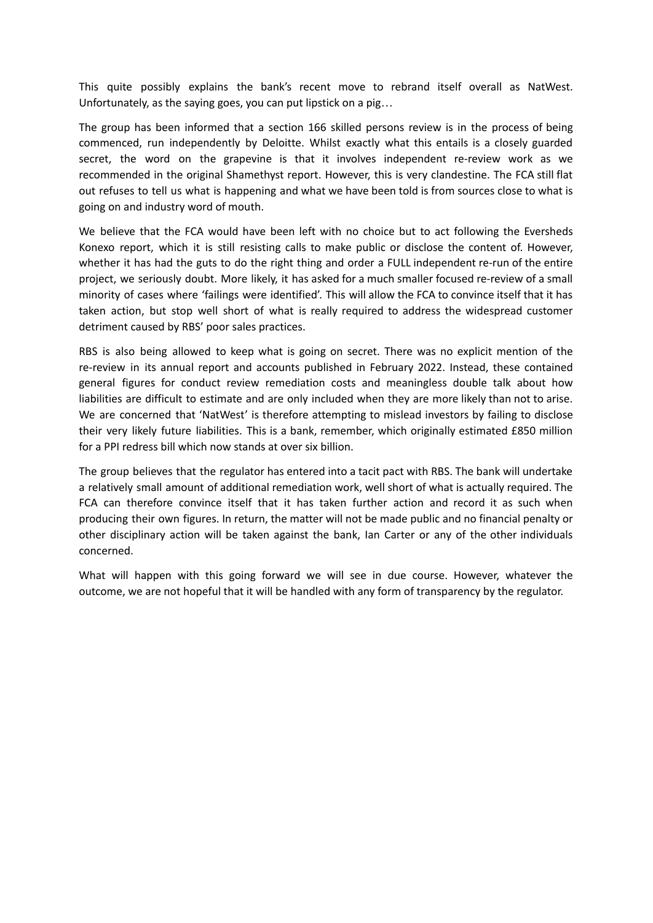This quite possibly explains the bank's recent move to rebrand itself overall as NatWest. Unfortunately, as the saying goes, you can put lipstick on a pig…

The group has been informed that a section 166 skilled persons review is in the process of being commenced, run independently by Deloitte. Whilst exactly what this entails is a closely guarded secret, the word on the grapevine is that it involves independent re-review work as we recommended in the original Shamethyst report. However, this is very clandestine. The FCA still flat out refuses to tell us what is happening and what we have been told is from sources close to what is going on and industry word of mouth.

We believe that the FCA would have been left with no choice but to act following the Eversheds Konexo report, which it is still resisting calls to make public or disclose the content of. However, whether it has had the guts to do the right thing and order a FULL independent re-run of the entire project, we seriously doubt. More likely, it has asked for a much smaller focused re-review of a small minority of cases where 'failings were identified'. This will allow the FCA to convince itself that it has taken action, but stop well short of what is really required to address the widespread customer detriment caused by RBS' poor sales practices.

RBS is also being allowed to keep what is going on secret. There was no explicit mention of the re-review in its annual report and accounts published in February 2022. Instead, these contained general figures for conduct review remediation costs and meaningless double talk about how liabilities are difficult to estimate and are only included when they are more likely than not to arise. We are concerned that 'NatWest' is therefore attempting to mislead investors by failing to disclose their very likely future liabilities. This is a bank, remember, which originally estimated £850 million for a PPI redress bill which now stands at over six billion.

The group believes that the regulator has entered into a tacit pact with RBS. The bank will undertake a relatively small amount of additional remediation work, well short of what is actually required. The FCA can therefore convince itself that it has taken further action and record it as such when producing their own figures. In return, the matter will not be made public and no financial penalty or other disciplinary action will be taken against the bank, Ian Carter or any of the other individuals concerned.

What will happen with this going forward we will see in due course. However, whatever the outcome, we are not hopeful that it will be handled with any form of transparency by the regulator.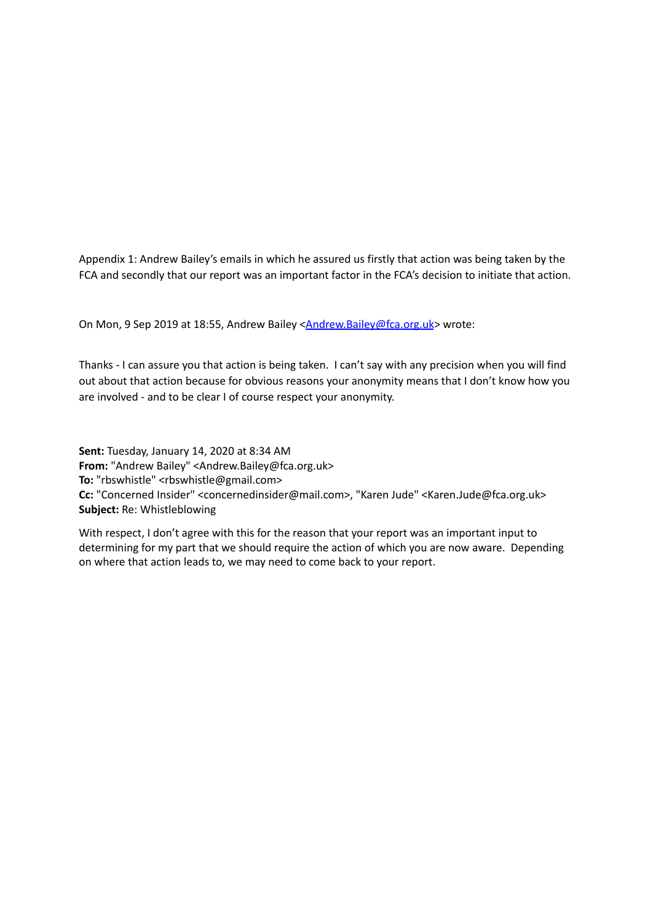Appendix 1: Andrew Bailey's emails in which he assured us firstly that action was being taken by the FCA and secondly that our report was an important factor in the FCA's decision to initiate that action.

On Mon, 9 Sep 2019 at 18:55, Andrew Bailey [<Andrew.Bailey@fca.org.uk](mailto:Andrew.Bailey@fca.org.uk)> wrote:

Thanks - I can assure you that action is being taken. I can't say with any precision when you will find out about that action because for obvious reasons your anonymity means that I don't know how you are involved - and to be clear I of course respect your anonymity.

**Sent:** Tuesday, January 14, 2020 at 8:34 AM **From:** "Andrew Bailey" <Andrew.Bailey@fca.org.uk> **To:** "rbswhistle" <rbswhistle@gmail.com> **Cc:** "Concerned Insider" <concernedinsider@mail.com>, "Karen Jude" <Karen.Jude@fca.org.uk> **Subject:** Re: Whistleblowing

With respect, I don't agree with this for the reason that your report was an important input to determining for my part that we should require the action of which you are now aware. Depending on where that action leads to, we may need to come back to your report.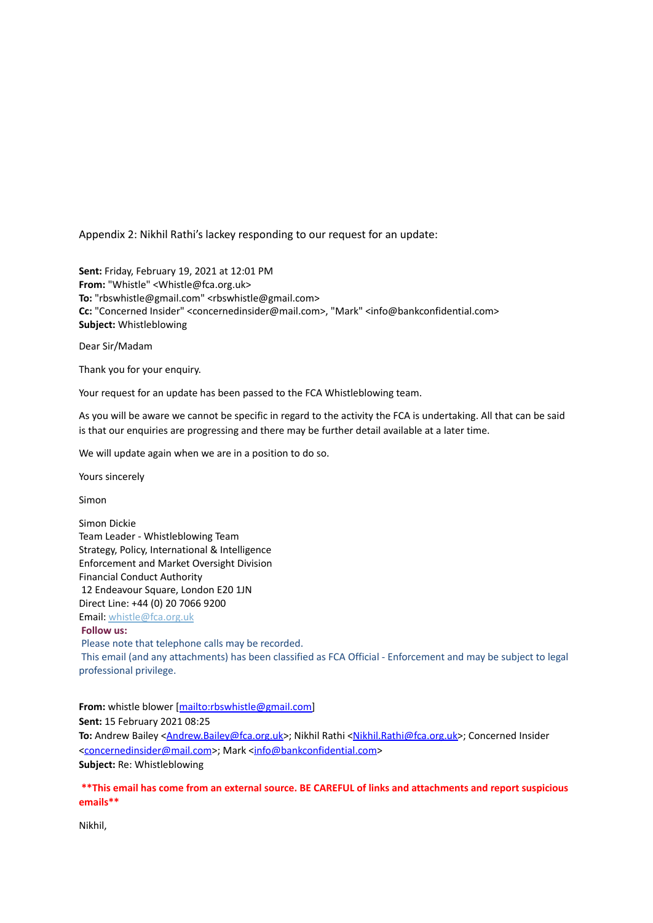Appendix 2: Nikhil Rathi's lackey responding to our request for an update:

**Sent:** Friday, February 19, 2021 at 12:01 PM **From:** "Whistle" <Whistle@fca.org.uk> **To:** "rbswhistle@gmail.com" <rbswhistle@gmail.com> **Cc:** "Concerned Insider" <concernedinsider@mail.com>, "Mark" <info@bankconfidential.com> **Subject:** Whistleblowing

Dear Sir/Madam

Thank you for your enquiry.

Your request for an update has been passed to the FCA Whistleblowing team.

As you will be aware we cannot be specific in regard to the activity the FCA is undertaking. All that can be said is that our enquiries are progressing and there may be further detail available at a later time.

We will update again when we are in a position to do so.

Yours sincerely

Simon

Simon Dickie Team Leader - Whistleblowing Team Strategy, Policy, International & Intelligence Enforcement and Market Oversight Division Financial Conduct Authority 12 Endeavour Square, London E20 1JN Direct Line: +44 (0) 20 7066 9200 Email: [whistle@fca.org.uk](mailto:whistle@fca.org.uk) **Follow us:** Please note that telephone calls may be recorded. This email (and any attachments) has been classified as FCA Official - Enforcement and may be subject to legal professional privilege.

**From:** whistle blower [[mailto:rbswhistle@gmail.com\]](mailto:rbswhistle@gmail.com) **Sent:** 15 February 2021 08:25 To: Andrew Bailey <*[Andrew.Bailey@fca.org.uk>](mailto:Andrew.Bailey@fca.org.uk)*; Nikhil Rathi [<Nikhil.Rathi@fca.org.uk>](mailto:Nikhil.Rathi@fca.org.uk); Concerned Insider <[concernedinsider@mail.com](mailto:concernedinsider@mail.com)>; Mark [<info@bankconfidential.com](mailto:info@bankconfidential.com)> **Subject:** Re: Whistleblowing

**\*\*This email has come from an external source. BE CAREFUL of links and attachments and report suspicious emails\*\***

Nikhil,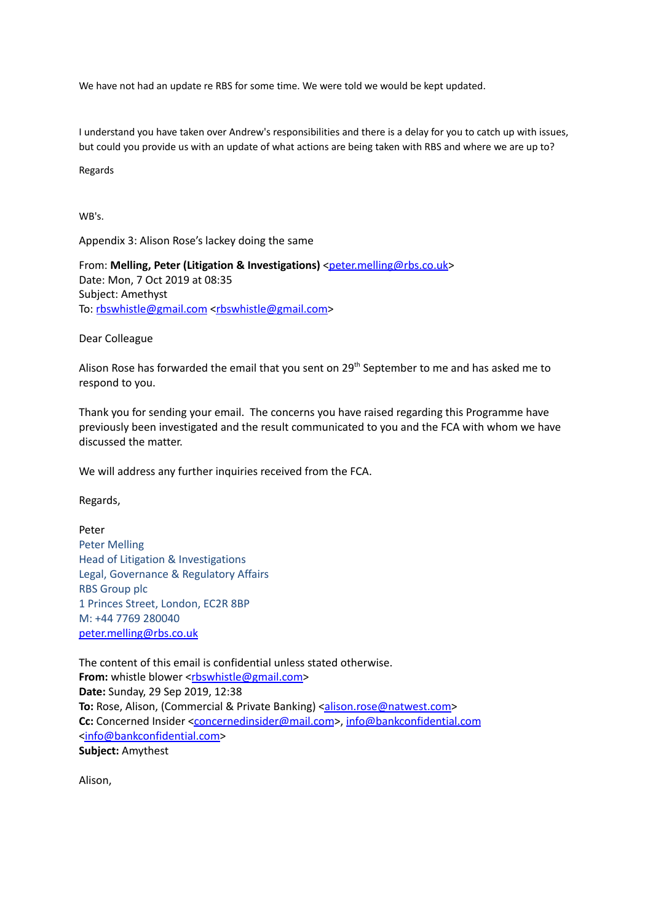We have not had an update re RBS for some time. We were told we would be kept updated.

I understand you have taken over Andrew's responsibilities and there is a delay for you to catch up with issues, but could you provide us with an update of what actions are being taken with RBS and where we are up to?

Regards

WB's.

Appendix 3: Alison Rose's lackey doing the same

From: Melling, Peter (Litigation & Investigations) [<peter.melling@rbs.co.uk](mailto:peter.melling@rbs.co.uk)> Date: Mon, 7 Oct 2019 at 08:35 Subject: Amethyst To: [rbswhistle@gmail.com](mailto:rbswhistle@gmail.com) [<rbswhistle@gmail.com](mailto:rbswhistle@gmail.com)>

Dear Colleague

Alison Rose has forwarded the email that you sent on 29<sup>th</sup> September to me and has asked me to respond to you.

Thank you for sending your email. The concerns you have raised regarding this Programme have previously been investigated and the result communicated to you and the FCA with whom we have discussed the matter.

We will address any further inquiries received from the FCA.

Regards,

Peter Peter Melling Head of Litigation & Investigations Legal, Governance & Regulatory Affairs RBS Group plc 1 Princes Street, London, EC2R 8BP M: +44 7769 280040 [peter.melling@rbs.co.uk](mailto:peter.melling@rbs.co.uk)

The content of this email is confidential unless stated otherwise. **From:** whistle blower <[rbswhistle@gmail.com>](mailto:rbswhistle@gmail.com) **Date:** Sunday, 29 Sep 2019, 12:38 **To:** Rose, Alison, (Commercial & Private Banking) [<alison.rose@natwest.com>](mailto:alison.rose@natwest.com) **Cc:** Concerned Insider [<concernedinsider@mail.com](mailto:concernedinsider@mail.com)>, [info@bankconfidential.com](mailto:info@bankconfidential.com) [<info@bankconfidential.com>](mailto:info@bankconfidential.com) **Subject:** Amythest

Alison,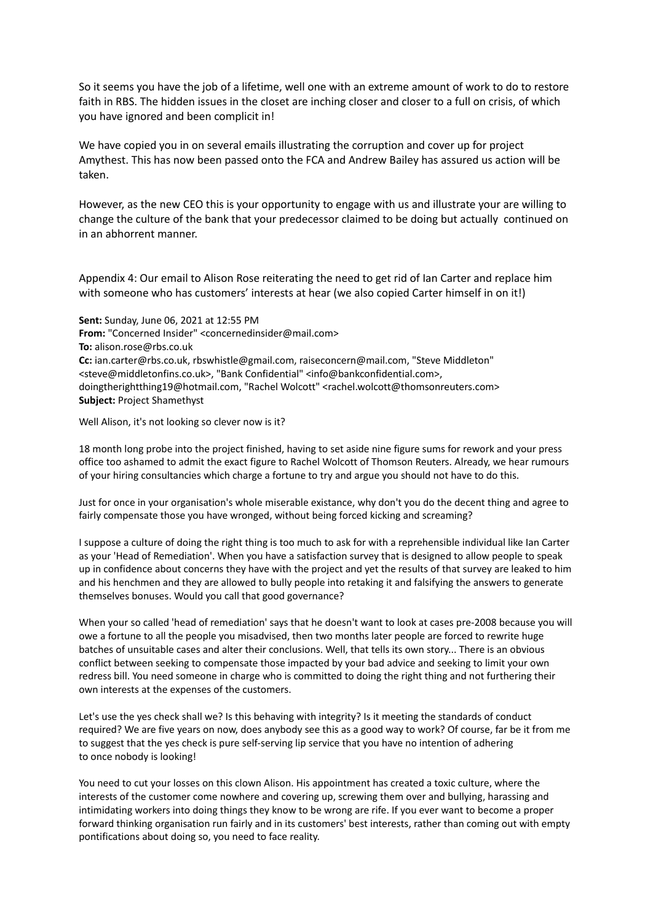So it seems you have the job of a lifetime, well one with an extreme amount of work to do to restore faith in RBS. The hidden issues in the closet are inching closer and closer to a full on crisis, of which you have ignored and been complicit in!

We have copied you in on several emails illustrating the corruption and cover up for project Amythest. This has now been passed onto the FCA and Andrew Bailey has assured us action will be taken.

However, as the new CEO this is your opportunity to engage with us and illustrate your are willing to change the culture of the bank that your predecessor claimed to be doing but actually continued on in an abhorrent manner.

Appendix 4: Our email to Alison Rose reiterating the need to get rid of Ian Carter and replace him with someone who has customers' interests at hear (we also copied Carter himself in on it!)

**Sent:** Sunday, June 06, 2021 at 12:55 PM **From:** "Concerned Insider" <concernedinsider@mail.com> **To:** alison.rose@rbs.co.uk **Cc:** ian.carter@rbs.co.uk, rbswhistle@gmail.com, raiseconcern@mail.com, "Steve Middleton" <steve@middletonfins.co.uk>, "Bank Confidential" <info@bankconfidential.com>, doingtherightthing19@hotmail.com, "Rachel Wolcott" <rachel.wolcott@thomsonreuters.com> **Subject:** Project Shamethyst

Well Alison, it's not looking so clever now is it?

18 month long probe into the project finished, having to set aside nine figure sums for rework and your press office too ashamed to admit the exact figure to Rachel Wolcott of Thomson Reuters. Already, we hear rumours of your hiring consultancies which charge a fortune to try and argue you should not have to do this.

Just for once in your organisation's whole miserable existance, why don't you do the decent thing and agree to fairly compensate those you have wronged, without being forced kicking and screaming?

I suppose a culture of doing the right thing is too much to ask for with a reprehensible individual like Ian Carter as your 'Head of Remediation'. When you have a satisfaction survey that is designed to allow people to speak up in confidence about concerns they have with the project and yet the results of that survey are leaked to him and his henchmen and they are allowed to bully people into retaking it and falsifying the answers to generate themselves bonuses. Would you call that good governance?

When your so called 'head of remediation' says that he doesn't want to look at cases pre-2008 because you will owe a fortune to all the people you misadvised, then two months later people are forced to rewrite huge batches of unsuitable cases and alter their conclusions. Well, that tells its own story... There is an obvious conflict between seeking to compensate those impacted by your bad advice and seeking to limit your own redress bill. You need someone in charge who is committed to doing the right thing and not furthering their own interests at the expenses of the customers.

Let's use the yes check shall we? Is this behaving with integrity? Is it meeting the standards of conduct required? We are five years on now, does anybody see this as a good way to work? Of course, far be it from me to suggest that the yes check is pure self-serving lip service that you have no intention of adhering to once nobody is looking!

You need to cut your losses on this clown Alison. His appointment has created a toxic culture, where the interests of the customer come nowhere and covering up, screwing them over and bullying, harassing and intimidating workers into doing things they know to be wrong are rife. If you ever want to become a proper forward thinking organisation run fairly and in its customers' best interests, rather than coming out with empty pontifications about doing so, you need to face reality.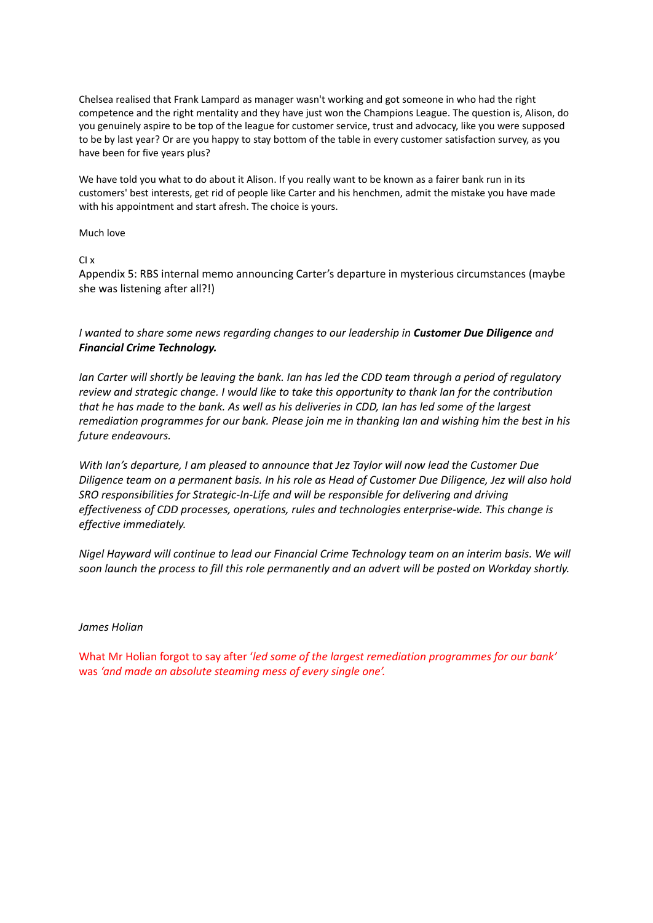Chelsea realised that Frank Lampard as manager wasn't working and got someone in who had the right competence and the right mentality and they have just won the Champions League. The question is, Alison, do you genuinely aspire to be top of the league for customer service, trust and advocacy, like you were supposed to be by last year? Or are you happy to stay bottom of the table in every customer satisfaction survey, as you have been for five years plus?

We have told you what to do about it Alison. If you really want to be known as a fairer bank run in its customers' best interests, get rid of people like Carter and his henchmen, admit the mistake you have made with his appointment and start afresh. The choice is yours.

Much love

CI x

Appendix 5: RBS internal memo announcing Carter's departure in mysterious circumstances (maybe she was listening after all?!)

*I wanted to share some news regarding changes to our leadership in Customer Due Diligence and Financial Crime Technology.*

Ian Carter will shortly be leaving the bank. Ian has led the CDD team through a period of regulatory *review and strategic change. I would like to take this opportunity to thank Ian for the contribution* that he has made to the bank. As well as his deliveries in CDD, Ian has led some of the largest remediation programmes for our bank. Please join me in thanking Ian and wishing him the best in his *future endeavours.*

*With Ian's departure, I am pleased to announce that Jez Taylor will now lead the Customer Due* Diligence team on a permanent basis. In his role as Head of Customer Due Diligence, Jez will also hold *SRO responsibilities for Strategic-In-Life and will be responsible for delivering and driving effectiveness of CDD processes, operations, rules and technologies enterprise-wide. This change is effective immediately.*

*Nigel Hayward will continue to lead our Financial Crime Technology team on an interim basis. We will* soon launch the process to fill this role permanently and an advert will be posted on Workday shortly.

#### *James Holian*

What Mr Holian forgot to say after '*led some of the largest remediation programmes for our bank'* was *'and made an absolute steaming mess of every single one'.*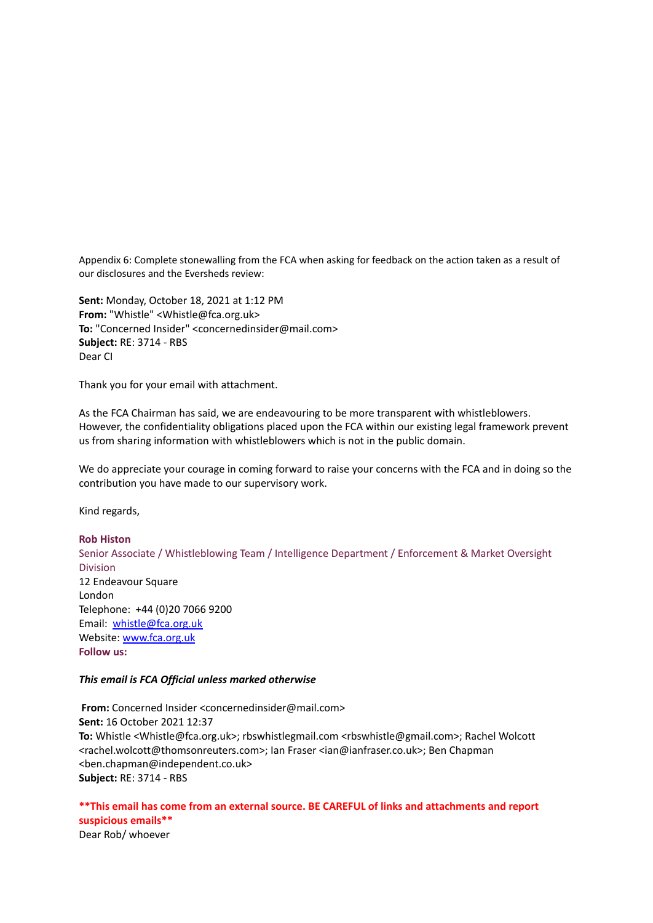Appendix 6: Complete stonewalling from the FCA when asking for feedback on the action taken as a result of our disclosures and the Eversheds review:

**Sent:** Monday, October 18, 2021 at 1:12 PM **From:** "Whistle" <Whistle@fca.org.uk> **To:** "Concerned Insider" <concernedinsider@mail.com> **Subject:** RE: 3714 - RBS Dear CI

Thank you for your email with attachment.

As the FCA Chairman has said, we are endeavouring to be more transparent with whistleblowers. However, the confidentiality obligations placed upon the FCA within our existing legal framework prevent us from sharing information with whistleblowers which is not in the public domain.

We do appreciate your courage in coming forward to raise your concerns with the FCA and in doing so the contribution you have made to our supervisory work.

Kind regards,

#### **Rob Histon**

Senior Associate / Whistleblowing Team / Intelligence Department / Enforcement & Market Oversight Division 12 Endeavour Square London Telephone: +44 (0)20 7066 9200 Email: [whistle@fca.org.uk](mailto:whistle@fca.org.uk) Website: [www.fca.org.uk](http://www.fca.org.uk) **Follow us:**

#### *This email is FCA Official unless marked otherwise*

**From:** Concerned Insider <concernedinsider@mail.com> **Sent:** 16 October 2021 12:37 **To:** Whistle <Whistle@fca.org.uk>; rbswhistlegmail.com <rbswhistle@gmail.com>; Rachel Wolcott <rachel.wolcott@thomsonreuters.com>; Ian Fraser <ian@ianfraser.co.uk>; Ben Chapman <ben.chapman@independent.co.uk> **Subject:** RE: 3714 - RBS

# **\*\*This email has come from an external source. BE CAREFUL of links and attachments and report suspicious emails\*\***

Dear Rob/ whoever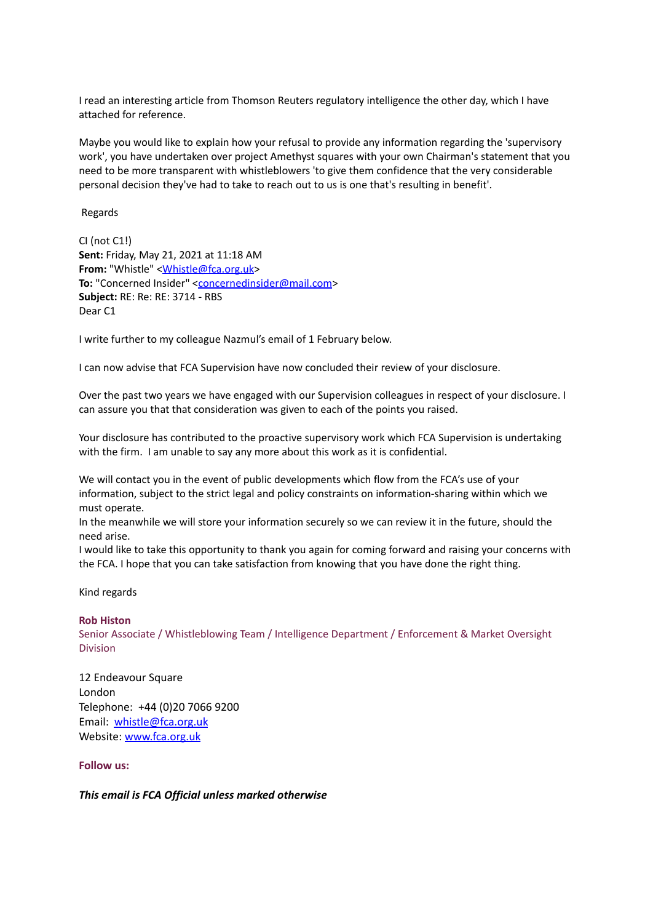I read an interesting article from Thomson Reuters regulatory intelligence the other day, which I have attached for reference.

Maybe you would like to explain how your refusal to provide any information regarding the 'supervisory work', you have undertaken over project Amethyst squares with your own Chairman's statement that you need to be more transparent with whistleblowers 'to give them confidence that the very considerable personal decision they've had to take to reach out to us is one that's resulting in benefit'.

Regards

CI (not C1!) **Sent:** Friday, May 21, 2021 at 11:18 AM **From:** "Whistle" <**Whistle@fca.org.uk>** To: "Concerned Insider" <[concernedinsider@mail.com](mailto:concernedinsider@mail.com)> **Subject:** RE: Re: RE: 3714 - RBS Dear C1

I write further to my colleague Nazmul's email of 1 February below.

I can now advise that FCA Supervision have now concluded their review of your disclosure.

Over the past two years we have engaged with our Supervision colleagues in respect of your disclosure. I can assure you that that consideration was given to each of the points you raised.

Your disclosure has contributed to the proactive supervisory work which FCA Supervision is undertaking with the firm. I am unable to say any more about this work as it is confidential.

We will contact you in the event of public developments which flow from the FCA's use of your information, subject to the strict legal and policy constraints on information-sharing within which we must operate.

In the meanwhile we will store your information securely so we can review it in the future, should the need arise.

I would like to take this opportunity to thank you again for coming forward and raising your concerns with the FCA. I hope that you can take satisfaction from knowing that you have done the right thing.

Kind regards

#### **Rob Histon**

Senior Associate / Whistleblowing Team / Intelligence Department / Enforcement & Market Oversight Division

12 Endeavour Square London Telephone: +44 (0)20 7066 9200 Email: [whistle@fca.org.uk](mailto:whistle@fca.org.uk) Website: [www.fca.org.uk](http://www.fca.org.uk)

**Follow us:**

*This email is FCA Official unless marked otherwise*